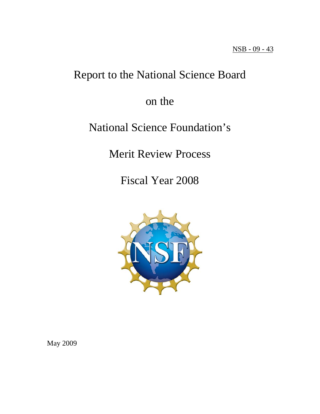# Report to the National Science Board

# on the

# National Science Foundation's

Merit Review Process

Fiscal Year 2008



May 2009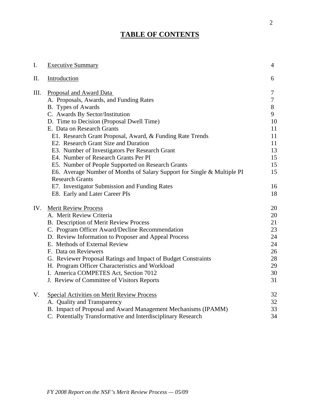# **TABLE OF CONTENTS**

| I.   | <b>Executive Summary</b>                                                | $\overline{4}$ |
|------|-------------------------------------------------------------------------|----------------|
| Π.   | Introduction                                                            | 6              |
| III. | Proposal and Award Data                                                 | 7              |
|      | A. Proposals, Awards, and Funding Rates                                 | 7              |
|      | B. Types of Awards                                                      | 8              |
|      | C. Awards By Sector/Institution                                         | 9              |
|      | D. Time to Decision (Proposal Dwell Time)                               | 10             |
|      | E. Data on Research Grants                                              | 11             |
|      | E1. Research Grant Proposal, Award, & Funding Rate Trends               | 11             |
|      | E2. Research Grant Size and Duration                                    | 11             |
|      | E3. Number of Investigators Per Research Grant                          | 13             |
|      | E4. Number of Research Grants Per PI                                    | 15             |
|      | E5. Number of People Supported on Research Grants                       | 15             |
|      | E6. Average Number of Months of Salary Support for Single & Multiple PI | 15             |
|      | <b>Research Grants</b>                                                  |                |
|      | E7. Investigator Submission and Funding Rates                           | 16             |
|      | E8. Early and Later Career PIs                                          | 18             |
| IV.  | <b>Merit Review Process</b>                                             | 20             |
|      | A. Merit Review Criteria                                                | 20             |
|      | B. Description of Merit Review Process                                  | 21             |
|      | C. Program Officer Award/Decline Recommendation                         | 23             |
|      | D. Review Information to Proposer and Appeal Process                    | 24             |
|      | E. Methods of External Review                                           | 24             |
|      | F. Data on Reviewers                                                    | 26             |
|      | G. Reviewer Proposal Ratings and Impact of Budget Constraints           | 28             |
|      | H. Program Officer Characteristics and Workload                         | 29             |
|      | I. America COMPETES Act, Section 7012                                   | 30             |
|      | J. Review of Committee of Visitors Reports                              | 31             |
| V.   | <b>Special Activities on Merit Review Process</b>                       | 32             |
|      | A. Quality and Transparency                                             | 32             |
|      | B. Impact of Proposal and Award Management Mechanisms (IPAMM)           | 33             |
|      | C. Potentially Transformative and Interdisciplinary Research            | 34             |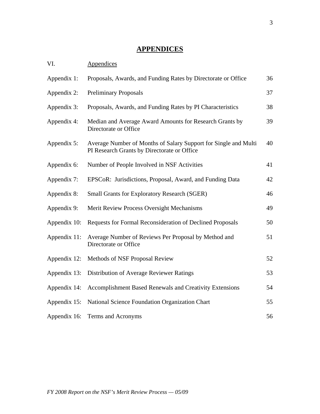# **APPENDICES**

| VI.          | Appendices                                                                                                     |    |
|--------------|----------------------------------------------------------------------------------------------------------------|----|
| Appendix 1:  | Proposals, Awards, and Funding Rates by Directorate or Office                                                  | 36 |
| Appendix 2:  | <b>Preliminary Proposals</b>                                                                                   | 37 |
| Appendix 3:  | Proposals, Awards, and Funding Rates by PI Characteristics                                                     | 38 |
| Appendix 4:  | Median and Average Award Amounts for Research Grants by<br>Directorate or Office                               | 39 |
| Appendix 5:  | Average Number of Months of Salary Support for Single and Multi<br>PI Research Grants by Directorate or Office | 40 |
| Appendix 6:  | Number of People Involved in NSF Activities                                                                    | 41 |
| Appendix 7:  | EPSCoR: Jurisdictions, Proposal, Award, and Funding Data                                                       | 42 |
| Appendix 8:  | <b>Small Grants for Exploratory Research (SGER)</b>                                                            | 46 |
| Appendix 9:  | Merit Review Process Oversight Mechanisms                                                                      | 49 |
| Appendix 10: | Requests for Formal Reconsideration of Declined Proposals                                                      | 50 |
| Appendix 11: | Average Number of Reviews Per Proposal by Method and<br>Directorate or Office                                  | 51 |
| Appendix 12: | Methods of NSF Proposal Review                                                                                 | 52 |
| Appendix 13: | Distribution of Average Reviewer Ratings                                                                       | 53 |
| Appendix 14: | Accomplishment Based Renewals and Creativity Extensions                                                        | 54 |
| Appendix 15: | National Science Foundation Organization Chart                                                                 | 55 |
| Appendix 16: | Terms and Acronyms                                                                                             | 56 |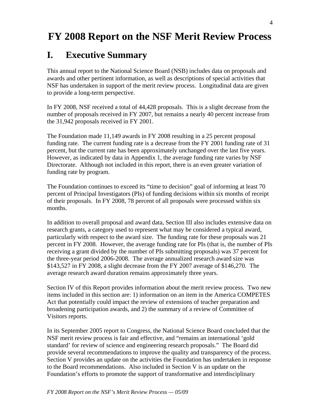# **FY 2008 Report on the NSF Merit Review Process**

# **I. Executive Summary**

This annual report to the National Science Board (NSB) includes data on proposals and awards and other pertinent information, as well as descriptions of special activities that NSF has undertaken in support of the merit review process. Longitudinal data are given to provide a long-term perspective.

In FY 2008, NSF received a total of 44,428 proposals. This is a slight decrease from the number of proposals received in FY 2007, but remains a nearly 40 percent increase from the 31,942 proposals received in FY 2001.

The Foundation made 11,149 awards in FY 2008 resulting in a 25 percent proposal funding rate. The current funding rate is a decrease from the FY 2001 funding rate of 31 percent, but the current rate has been approximately unchanged over the last five years. However, as indicated by data in Appendix 1, the average funding rate varies by NSF Directorate. Although not included in this report, there is an even greater variation of funding rate by program.

The Foundation continues to exceed its "time to decision" goal of informing at least 70 percent of Principal Investigators (PIs) of funding decisions within six months of receipt of their proposals. In FY 2008, 78 percent of all proposals were processed within six months.

In addition to overall proposal and award data, Section III also includes extensive data on research grants, a category used to represent what may be considered a typical award, particularly with respect to the award size. The funding rate for these proposals was 21 percent in FY 2008. However, the average funding rate for PIs (that is, the number of PIs receiving a grant divided by the number of PIs submitting proposals) was 37 percent for the three-year period 2006-2008. The average annualized research award size was \$143,527 in FY 2008, a slight decrease from the FY 2007 average of \$146,270. The average research award duration remains approximately three years.

Section IV of this Report provides information about the merit review process. Two new items included in this section are: 1) information on an item in the America COMPETES Act that potentially could impact the review of extensions of teacher preparation and broadening participation awards, and 2) the summary of a review of Committee of Visitors reports.

In its September 2005 report to Congress, the National Science Board concluded that the NSF merit review process is fair and effective, and "remains an international 'gold standard' for review of science and engineering research proposals." The Board did provide several recommendations to improve the quality and transparency of the process. Section V provides an update on the activities the Foundation has undertaken in response to the Board recommendations. Also included in Section V is an update on the Foundation's efforts to promote the support of transformative and interdisciplinary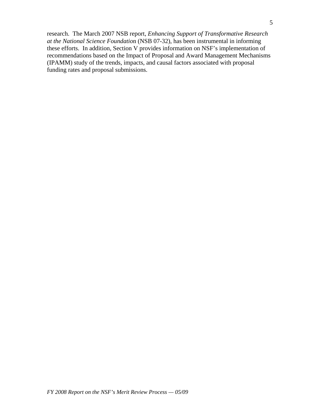research. The March 2007 NSB report, *Enhancing Support of Transformative Research at the National Science Foundatio*n (NSB 07-32), has been instrumental in informing these efforts. In addition, Section V provides information on NSF's implementation of recommendations based on the Impact of Proposal and Award Management Mechanisms (IPAMM) study of the trends, impacts, and causal factors associated with proposal funding rates and proposal submissions.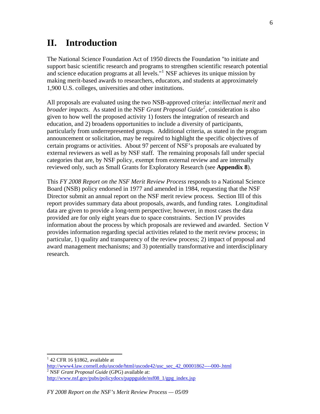# **II. Introduction**

The National Science Foundation Act of 1950 directs the Foundation "to initiate and support basic scientific research and programs to strengthen scientific research potential and science education programs at all levels."<sup>[1](#page-5-0)</sup> NSF achieves its unique mission by making merit-based awards to researchers, educators, and students at approximately 1,900 U.S. colleges, universities and other institutions.

All proposals are evaluated using the two NSB-approved criteria: *intellectual merit* and *broader impacts*. As stated in the NSF *Grant Proposal Guide[2](#page-5-1)* , consideration is also given to how well the proposed activity 1) fosters the integration of research and education, and 2) broadens opportunities to include a diversity of participants, particularly from underrepresented groups. Additional criteria, as stated in the program announcement or solicitation, may be required to highlight the specific objectives of certain programs or activities. About 97 percent of NSF's proposals are evaluated by external reviewers as well as by NSF staff. The remaining proposals fall under special categories that are, by NSF policy, exempt from external review and are internally reviewed only, such as Small Grants for Exploratory Research (see **Appendix 8**).

This *FY 2008 Report on the NSF Merit Review Process* responds to a National Science Board (NSB) policy endorsed in 1977 and amended in 1984, requesting that the NSF Director submit an annual report on the NSF merit review process. Section III of this report provides summary data about proposals, awards, and funding rates. Longitudinal data are given to provide a long-term perspective; however, in most cases the data provided are for only eight years due to space constraints. Section IV provides information about the process by which proposals are reviewed and awarded. Section V provides information regarding special activities related to the merit review process; in particular, 1) quality and transparency of the review process; 2) impact of proposal and award management mechanisms; and 3) potentially transformative and interdisciplinary research.

 $\overline{a}$ 

 $142$  CFR 16 §1862, available at

<span id="page-5-1"></span><span id="page-5-0"></span>[http://www4.law.cornell.edu/uscode/html/uscode42/usc\\_sec\\_42\\_00001862----000-.html](http://www4.law.cornell.edu/uscode/html/uscode42/usc_sec_42_00001862----000-.html) NSF *Grant Proposal Guide* (GPG) available at: http://www.nsf.gov/pubs/policydocs/pappguide/nsf08 1/gpg index.jsp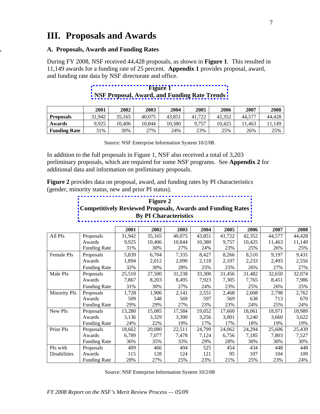# **III. Proposals and Awards**

#### **. A. Proposals, Awards and Funding Rates**

During FY 2008, NSF received 44,428 proposals, as shown in **Figure 1**. This resulted in 11,149 awards for a funding rate of 25 percent. **Appendix 1** provides proposal, award, and funding rate data by NSF directorate and office.

|                     | 2001   | 2002   | 2003   | 2004   | 2005       | 2006   | 2007   | 2008   |
|---------------------|--------|--------|--------|--------|------------|--------|--------|--------|
| <b>Proposals</b>    | 31.942 | 35.165 | 40.075 | 43.851 | .722<br>41 | 42.352 | 44,577 | 44.428 |
| Awards              | 9.925  | 10.406 | 10.844 | 10.380 | 9.757      | 10.425 | .463   | 1,149  |
| <b>Funding Rate</b> | 31%    | 30%    | 27%    | 24%    | 23%        | 25%    | 26%    | 25%    |

| <b>Figure 1</b>                                     |  |
|-----------------------------------------------------|--|
| <b>NSF Proposal, Award, and Funding Rate Trends</b> |  |

Source: NSF Enterprise Information System 10/2/08.

In addition to the full proposals in Figure 1, NSF also received a total of 3,203 preliminary proposals, which are required for some NSF programs. See **Appendix 2** for additional data and information on preliminary proposals.

**Figure 2** provides data on proposal, award, and funding rates by PI characteristics (gender, minority status, new and prior PI status).

# **Figure 2 [Competitively Reviewed Proposals, Awards and Funding Rates](http://www.nsf.gov/nsb/publications/2009/nsb0943/figure2ext.jsp)  By PI Characteristics**

|                     |                     | 2001   | 2002   | 2003   | 2004   | 2005   | 2006   | 2007   | 2008   |
|---------------------|---------------------|--------|--------|--------|--------|--------|--------|--------|--------|
| All PIs             | Proposals           | 31,942 | 35,165 | 40,075 | 43,851 | 41,722 | 42,352 | 44,577 | 44,428 |
|                     | Awards              | 9,925  | 10,406 | 10,844 | 10,380 | 9,757  | 10,425 | 11,463 | 11,149 |
|                     | <b>Funding Rate</b> | 31%    | 30%    | 27%    | 24%    | 23%    | 25%    | 26%    | 25%    |
| Female PIs          | Proposals           | 5,839  | 6,704  | 7,335  | 8,427  | 8,266  | 8,510  | 9,197  | 9,431  |
|                     | Awards              | 1,894  | 2,012  | 2,090  | 2,118  | 2,107  | 2,233  | 2,493  | 2,556  |
|                     | <b>Funding Rate</b> | 32%    | 30%    | 28%    | 25%    | 25%    | 26%    | 27%    | 27%    |
| Male PIs            | Proposals           | 25,510 | 27,500 | 31,238 | 33,300 | 31,456 | 31,482 | 32,650 | 32,074 |
|                     | Awards              | 7,867  | 8,203  | 8,495  | 7,923  | 7,305  | 7,765  | 8,451  | 7,986  |
|                     | <b>Funding Rate</b> | 31%    | 30%    | 27%    | 24%    | 23%    | 25%    | 26%    | 25%    |
| <b>Minority PIs</b> | Proposals           | 1,728  | 1,906  | 2,141  | 2,551  | 2,468  | 2,608  | 2,798  | 2,762  |
|                     | Awards              | 509    | 548    | 569    | 597    | 569    | 638    | 713    | 670    |
|                     | <b>Funding Rate</b> | 29%    | 29%    | 27%    | 23%    | 23%    | 24%    | 25%    | 24%    |
| New PIs             | Proposals           | 13,280 | 15,085 | 17,584 | 19,052 | 17,660 | 18,061 | 18,971 | 18,989 |
|                     | Awards              | 3,136  | 3,329  | 3,390  | 3,256  | 3,001  | 3,240  | 3,660  | 3,622  |
|                     | <b>Funding Rate</b> | 24%    | 22%    | 19%    | 17%    | 17%    | 18%    | 19%    | 19%    |
| Prior PIs           | Proposals           | 18,662 | 20,080 | 22,511 | 24,799 | 24,062 | 24,294 | 25,606 | 25,439 |
|                     | Awards              | 6,789  | 7,077  | 7,478  | 7,124  | 6,756  | 7,185  | 7,803  | 7,527  |
|                     | <b>Funding Rate</b> | 36%    | 35%    | 33%    | 29%    | 28%    | 30%    | 30%    | 30%    |
| PIs with            | Proposals           | 409    | 466    | 494    | 525    | 454    | 434    | 448    | 448    |
| <b>Disabilities</b> | Awards              | 115    | 128    | 124    | 121    | 95     | 107    | 104    | 109    |
|                     | <b>Funding Rate</b> | 28%    | 27%    | 25%    | 23%    | 21%    | 25%    | 23%    | 24%    |

Source: NSF Enterprise Information System 10/2/08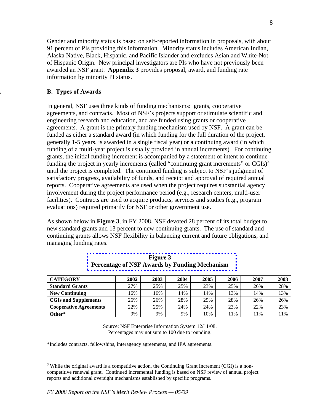Gender and minority status is based on self-reported information in proposals, with about 91 percent of PIs providing this information. Minority status includes American Indian, Alaska Native, Black, Hispanic, and Pacific Islander and excludes Asian and White-Not of Hispanic Origin. New principal investigators are PIs who have not previously been awarded an NSF grant. **Appendix 3** provides proposal, award, and funding rate information by minority PI status.

#### **. B. Types of Awards**

In general, NSF uses three kinds of funding mechanisms: grants, cooperative agreements, and contracts. Most of NSF's projects support or stimulate scientific and engineering research and education, and are funded using grants or cooperative agreements. A grant is the primary funding mechanism used by NSF. A grant can be funded as either a standard award (in which funding for the full duration of the project, generally 1-5 years, is awarded in a single fiscal year) or a continuing award (in which funding of a multi-year project is usually provided in annual increments). For continuing grants, the initial funding increment is accompanied by a statement of intent to continue funding the project in yearly increments (called "continuing grant increments" or  $CGIs)^3$  $CGIs)^3$ until the project is completed. The continued funding is subject to NSF's judgment of satisfactory progress, availability of funds, and receipt and approval of required annual reports. Cooperative agreements are used when the project requires substantial agency involvement during the project performance period (e.g., research centers, multi-user facilities). Contracts are used to acquire products, services and studies (e.g., program evaluations) required primarily for NSF or other government use.

As shown below in **Figure 3**, in FY 2008, NSF devoted 28 percent of its total budget to new standard grants and 13 percent to new continuing grants. The use of standard and continuing grants allows NSF flexibility in balancing current and future obligations, and managing funding rates.

| <b>CATEGORY</b>               | 2002 | 2003 | 2004 | 2005 | 2006 | 2007 | 2008 |
|-------------------------------|------|------|------|------|------|------|------|
| <b>Standard Grants</b>        | 27%  | 25%  | 25%  | 23%  | 25%  | 26%  | 28%  |
| <b>New Continuing</b>         | 16%  | 16%  | 14%  | 14%  | 13%  | 14%  | 13%  |
| <b>CGIs and Supplements</b>   | 26%  | 26%  | 28%  | 29%  | 28%  | 26%  | 26%  |
| <b>Cooperative Agreements</b> | 22%  | 25%  | 24%  | 24%  | 23%  | 22%  | 23%  |
| Other*                        | 9%   | 9%   | 9%   | 10%  | l 1% | 11%  | 11%  |

**Figure 3 [Percentage of NSF Awards by Funding Mechanism](http://www.nsf.gov/nsb/publications/2009/nsb0943/figure3ext.jsp)** 

Source: NSF Enterprise Information System 12/11/08. Percentages may not sum to 100 due to rounding.

\*Includes contracts, fellowships, interagency agreements, and IPA agreements.

<span id="page-7-0"></span> $\overline{a}$  $3$  While the original award is a competitive action, the Continuing Grant Increment (CGI) is a noncompetitive renewal grant. Continued incremental funding is based on NSF review of annual project reports and additional oversight mechanisms established by specific programs.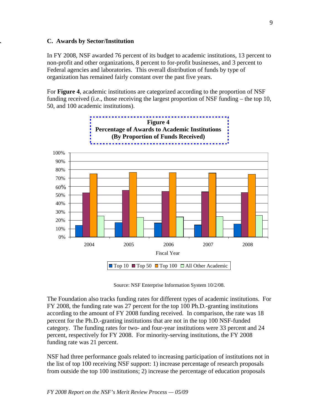#### **. C. Awards by Sector/Institution**

In FY 2008, NSF awarded 76 percent of its budget to academic institutions, 13 percent to non-profit and other organizations, 8 percent to for-profit businesses, and 3 percent to Federal agencies and laboratories. This overall distribution of funds by type of organization has remained fairly constant over the past five years.

For **Figure 4**, academic institutions are categorized according to the proportion of NSF funding received (i.e., those receiving the largest proportion of NSF funding – the top 10, 50, and 100 academic institutions).





Source: NSF Enterprise Information System 10/2/08.

The Foundation also tracks funding rates for different types of academic institutions. For FY 2008, the funding rate was 27 percent for the top 100 Ph.D.-granting institutions according to the amount of FY 2008 funding received. In comparison, the rate was 18 percent for the Ph.D.-granting institutions that are not in the top 100 NSF-funded category. The funding rates for two- and four-year institutions were 33 percent and 24 percent, respectively for FY 2008. For minority-serving institutions, the FY 2008 funding rate was 21 percent.

NSF had three performance goals related to increasing participation of institutions not in the list of top 100 receiving NSF support: 1) increase percentage of research proposals from outside the top 100 institutions; 2) increase the percentage of education proposals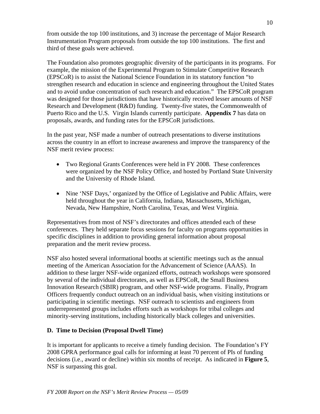from outside the top 100 institutions, and 3) increase the percentage of Major Research Instrumentation Program proposals from outside the top 100 institutions. The first and third of these goals were achieved.

The Foundation also promotes geographic diversity of the participants in its programs. For example, the mission of the Experimental Program to Stimulate Competitive Research (EPSCoR) is to assist the National Science Foundation in its statutory function "to strengthen research and education in science and engineering throughout the United States and to avoid undue concentration of such research and education." The EPSCoR program was designed for those jurisdictions that have historically received lesser amounts of NSF Research and Development (R&D) funding. Twenty-five states, the Commonwealth of Puerto Rico and the U.S. Virgin Islands currently participate. **Appendix 7** has data on proposals, awards, and funding rates for the EPSCoR jurisdictions.

In the past year, NSF made a number of outreach presentations to diverse institutions across the country in an effort to increase awareness and improve the transparency of the NSF merit review process:

- Two Regional Grants Conferences were held in FY 2008. These conferences were organized by the NSF Policy Office, and hosted by Portland State University and the University of Rhode Island.
- Nine 'NSF Days,' organized by the Office of Legislative and Public Affairs, were held throughout the year in California, Indiana, Massachusetts, Michigan, Nevada, New Hampshire, North Carolina, Texas, and West Virginia.

Representatives from most of NSF's directorates and offices attended each of these conferences. They held separate focus sessions for faculty on programs opportunities in specific disciplines in addition to providing general information about proposal preparation and the merit review process.

NSF also hosted several informational booths at scientific meetings such as the annual meeting of the American Association for the Advancement of Science (AAAS). In addition to these larger NSF-wide organized efforts, outreach workshops were sponsored by several of the individual directorates, as well as EPSCoR, the Small Business Innovation Research (SBIR) program, and other NSF-wide programs. Finally, Program Officers frequently conduct outreach on an individual basis, when visiting institutions or participating in scientific meetings. NSF outreach to scientists and engineers from underrepresented groups includes efforts such as workshops for tribal colleges and minority-serving institutions, including historically black colleges and universities.

# **D. Time to Decision (Proposal Dwell Time)**

It is important for applicants to receive a timely funding decision. The Foundation's FY 2008 GPRA performance goal calls for informing at least 70 percent of PIs of funding decisions (i.e., award or decline) within six months of receipt. As indicated in **Figure 5**, NSF is surpassing this goal.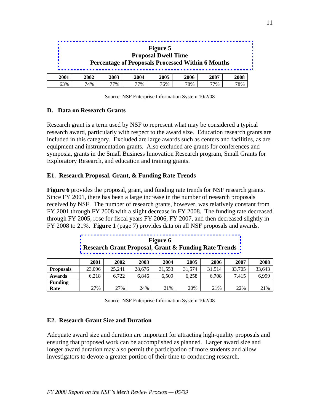#### **Figure 5 Proposal Dwell Time [Percentage of Proposals Processed Within 6 Months](http://www.nsf.gov/nsb/publications/2009/nsb0943/figure5ext.jsp)**

| 2001 | 2002    | <b>2003</b> | 2004 | <b>2005</b> | 2006     | 2007 | 2008 |
|------|---------|-------------|------|-------------|----------|------|------|
| 63%  | 4%<br>⇁ | 77%         | 77%  | 76%         | 78%<br>o | 77%  | 78%  |

Source: NSF Enterprise Information System 10/2/08

#### **D. Data on Research Grants**

Research grant is a term used by NSF to represent what may be considered a typical research award, particularly with respect to the award size. Education research grants are included in this category. Excluded are large awards such as centers and facilities, as are equipment and instrumentation grants. Also excluded are grants for conferences and symposia, grants in the Small Business Innovation Research program, Small Grants for Exploratory Research, and education and training grants.

#### **E1. Research Proposal, Grant, & Funding Rate Trends**

**Figure 6** provides the proposal, grant, and funding rate trends for NSF research grants. Since FY 2001, there has been a large increase in the number of research proposals received by NSF. The number of research grants, however, was relatively constant from FY 2001 through FY 2008 with a slight decrease in FY 2008. The funding rate decreased through FY 2005, rose for fiscal years FY 2006, FY 2007, and then decreased slightly in FY 2008 to 21%. **Figure 1** (page 7) provides data on all NSF proposals and awards.

|     |             |       |      | <b>Research Grant Proposal, Grant &amp; Funding Rate Trends</b> |        |        |        |               |
|-----|-------------|-------|------|-----------------------------------------------------------------|--------|--------|--------|---------------|
|     | <b>2001</b> | 2002  | 2003 | 2004                                                            | 2005   | 2006   | 2007   |               |
| . 1 | 2200c       | 25.21 | 20C  | 21.552                                                          | 21.571 | 21.51A | 22.705 | $\mathcal{D}$ |

**Figure 6** 

|                  | 2001   | 2002   | 2003   | 2004   | 2005   | 2006   | 2007   | 2008   |
|------------------|--------|--------|--------|--------|--------|--------|--------|--------|
| <b>Proposals</b> | 23,096 | 25.241 | 28.676 | 31.553 | 31.574 | 31.514 | 33,705 | 33,643 |
| <b>Awards</b>    | 6.218  | 6.722  | 6.846  | 6.509  | 6.258  | 6.708  | 7.415  | 6.999  |
| <b>Funding</b>   |        |        |        |        |        |        |        |        |
| Rate             | 27%    | 27%    | 24%    | 21%    | 20%    | 21%    | 22%    | 21%    |

Source: NSF Enterprise Information System 10/2/08

#### **E2. Research Grant Size and Duration**

Adequate award size and duration are important for attracting high-quality proposals and ensuring that proposed work can be accomplished as planned. Larger award size and longer award duration may also permit the participation of more students and allow investigators to devote a greater portion of their time to conducting research.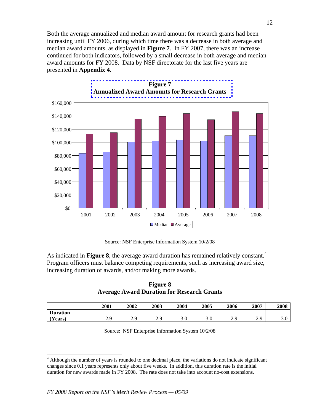Both the average annualized and median award amount for research grants had been increasing until FY 2006, during which time there was a decrease in both average and median award amounts, as displayed in **Figure 7**. In FY 2007, there was an increase continued for both indicators, followed by a small decrease in both average and median award amounts for FY 2008. Data by NSF directorate for the last five years are presented in **Appendix 4**.



**Figure 7 [Annualized Award Amounts for Research Grants](http://www.nsf.gov/nsb/publications/2009/nsb0943/figure7ext.jsp)** 

Source: NSF Enterprise Information System 10/2/08

As indicated in **Figure 8**, the average award duration has remained relatively constant.<sup>[4](#page-11-0)</sup> Program officers must balance competing requirements, such as increasing award size, increasing duration of awards, and/or making more awards.

**Figure 8 Average Award Duration for Research Grants** 

|                 | 2001                  | 2002              | 2003       | 2004              | 2005       | 2006              | 2007               | 2008 |
|-----------------|-----------------------|-------------------|------------|-------------------|------------|-------------------|--------------------|------|
| <b>Duration</b> |                       |                   |            |                   |            |                   |                    |      |
| Years)          | $\mathbf{C}$<br>ر . د | າ ດ<br><b>4.J</b> | າ ດ<br>ر،، | $\sqrt{ }$<br>J.U | 2 ሰ<br>J.U | $\Omega$<br>ر . د | $\Omega$<br>ر و سک | J.U  |

|  |  |  | Source: NSF Enterprise Information System 10/2/08 |  |  |
|--|--|--|---------------------------------------------------|--|--|
|--|--|--|---------------------------------------------------|--|--|

<span id="page-11-0"></span> $\overline{a}$ <sup>4</sup> Although the number of years is rounded to one decimal place, the variations do not indicate significant changes since 0.1 years represents only about five weeks. In addition, this duration rate is the initial duration for new awards made in FY 2008. The rate does not take into account no-cost extensions.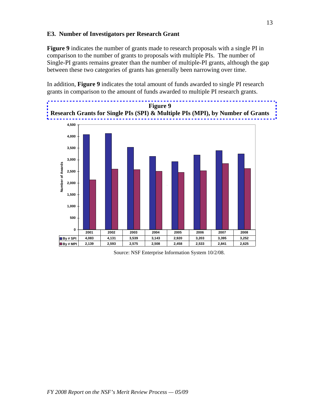#### **E3. Number of Investigators per Research Grant**

**Figure 9** indicates the number of grants made to research proposals with a single PI in comparison to the number of grants to proposals with multiple PIs. The number of Single-PI grants remains greater than the number of multiple-PI grants, although the gap between these two categories of grants has generally been narrowing over time.

In addition, **Figure 9** indicates the total amount of funds awarded to single PI research grants in comparison to the amount of funds awarded to multiple PI research grants.





Source: NSF Enterprise Information System 10/2/08.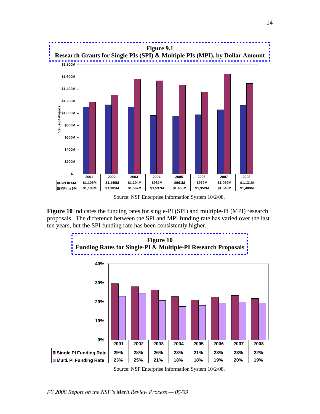**Figure 9.1 [Research Grants for Single PIs \(SPI\) & Multiple PIs \(MPI\), by Dollar Amount](http://www.nsf.gov/nsb/publications/2009/nsb0943/figure9-1ext.jsp)** 



Source: NSF Enterprise Information System 10/2/08.

**Figure 10** indicates the funding rates for single-PI (SPI) and multiple-PI (MPI) research proposals. The difference between the SPI and MPI funding rate has varied over the last ten years, but the SPI funding rate has been consistently higher.

**Figure 10 [Funding Rates for Single-PI & Multiple-PI Research Proposals](http://www.nsf.gov/nsb/publications/2009/nsb0943/figure10ext.jsp)** 



Source: NSF Enterprise Information System 10/2/08.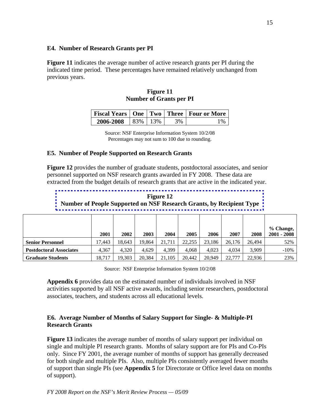#### **E4. Number of Research Grants per PI**

**Figure 11** indicates the average number of active research grants per PI during the indicated time period. These percentages have remained relatively unchanged from previous years.

#### **Figure 11 Number of Grants per PI**

|           |           |    | Fiscal Years   One   Two   Three   Four or More |
|-----------|-----------|----|-------------------------------------------------|
| 2006-2008 | 83\% 13\% | 2% |                                                 |

Source: NSF Enterprise Information System 10/2/08 Percentages may not sum to 100 due to rounding.

#### **E5. Number of People Supported on Research Grants**

**Figure 12** provides the number of graduate students, postdoctoral associates, and senior personnel supported on NSF research grants awarded in FY 2008. These data are extracted from the budget details of research grants that are active in the indicated year.

**Figure 12 [Number of People Supported on NSF Research Grants, by Recipient Type](http://www.nsf.gov/nsb/publications/2009/nsb0943/figure12ext.jsp)** 

|                                | 2001   | 2002   | 2003   | 2004   | 2005   | 2006   | 2007   | 2008   | % Change,<br>$2001 - 2008$ |
|--------------------------------|--------|--------|--------|--------|--------|--------|--------|--------|----------------------------|
| <b>Senior Personnel</b>        | 17.443 | 18.643 | 19.864 | 21.711 | 22,255 | 23.186 | 26.176 | 26.494 | 52%                        |
| <b>Postdoctoral Associates</b> | 4,367  | 4.320  | 4.629  | 4,399  | 4,068  | 4.023  | 4.034  | 3,909  | $-10%$                     |
| <b>Graduate Students</b>       | 18.717 | 19,303 | 20,384 | 21.105 | 20.442 | 20.949 | 22,777 | 22.936 | 23%                        |

Source: NSF Enterprise Information System 10/2/08

**Appendix 6** provides data on the estimated number of individuals involved in NSF activities supported by all NSF active awards, including senior researchers, postdoctoral associates, teachers, and students across all educational levels.

### **E6. Average Number of Months of Salary Support for Single- & Multiple-PI Research Grants**

**Figure 13** indicates the average number of months of salary support per individual on single and multiple PI research grants. Months of salary support are for PIs and Co-PIs only. Since FY 2001, the average number of months of support has generally decreased for both single and multiple PIs. Also, multiple PIs consistently averaged fewer months of support than single PIs (see **Appendix 5** for Directorate or Office level data on months of support).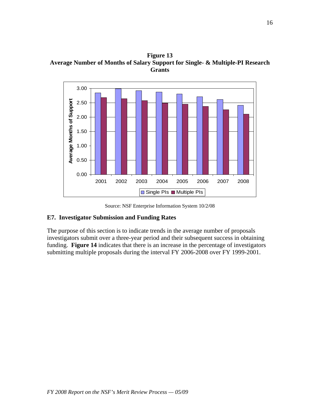**Figure 13 Average Number of Months of Salary Support for Single- & Multiple-PI Research Grants** 



Source: NSF Enterprise Information System 10/2/08

#### **E7. Investigator Submission and Funding Rates**

The purpose of this section is to indicate trends in the average number of proposals investigators submit over a three-year period and their subsequent success in obtaining funding. **Figure 14** indicates that there is an increase in the percentage of investigators submitting multiple proposals during the interval FY 2006-2008 over FY 1999-2001.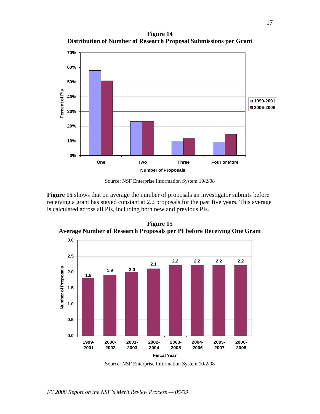**Figure 14 Distribution of Number of Research Proposal Submissions per Grant** 



Source: NSF Enterprise Information System 10/2/08

**Figure 15** shows that on average the number of proposals an investigator submits before receiving a grant has stayed constant at 2.2 proposals for the past five years. This average is calculated across all PIs, including both new and previous PIs.



**Figure 15 Average Number of Research Proposals per PI before Receiving One Grant** 

Source: NSF Enterprise Information System 10/2/08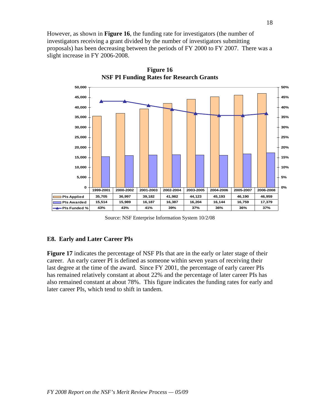However, as shown in **Figure 16**, the funding rate for investigators (the number of investigators receiving a grant divided by the number of investigators submitting proposals) has been decreasing between the periods of FY 2000 to FY 2007. There was a slight increase in FY 2006-2008.



**Figure 16 NSF PI Funding Rates for Research Grants** 

Source: NSF Enterprise Information System 10/2/08

# **E8. Early and Later Career PIs**

**Figure 17** indicates the percentage of NSF PIs that are in the early or later stage of their career. An early career PI is defined as someone within seven years of receiving their last degree at the time of the award. Since FY 2001, the percentage of early career PIs has remained relatively constant at about 22% and the percentage of later career PIs has also remained constant at about 78%. This figure indicates the funding rates for early and later career PIs, which tend to shift in tandem.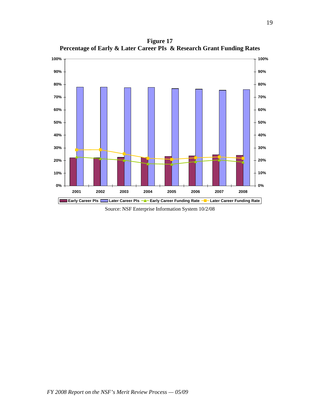**Figure 17 Percentage of Early & Later Career PIs & Research Grant Funding Rates** 



Source: NSF Enterprise Information System 10/2/08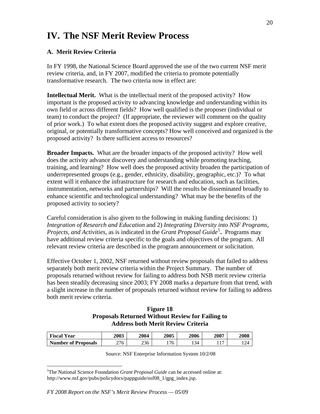# **IV. The NSF Merit Review Process**

# **A. Merit Review Criteria**

In FY 1998, the National Science Board approved the use of the two current NSF merit review criteria, and, in FY 2007, modified the criteria to promote potentially transformative research. The two criteria now in effect are:

**Intellectual Merit.** What is the intellectual merit of the proposed activity? How important is the proposed activity to advancing knowledge and understanding within its own field or across different fields? How well qualified is the proposer (individual or team) to conduct the project? (If appropriate, the reviewer will comment on the quality of prior work.) To what extent does the proposed activity suggest and explore creative, original, or potentially transformative concepts? How well conceived and organized is the proposed activity? Is there sufficient access to resources?

**Broader Impacts.** What are the broader impacts of the proposed activity? How well does the activity advance discovery and understanding while promoting teaching, training, and learning? How well does the proposed activity broaden the participation of underrepresented groups (e.g., gender, ethnicity, disability, geographic, etc.)? To what extent will it enhance the infrastructure for research and education, such as facilities, instrumentation, networks and partnerships? Will the results be disseminated broadly to enhance scientific and technological understanding? What may be the benefits of the proposed activity to society?

Careful consideration is also given to the following in making funding decisions: 1) *Integration of Research and Education* and 2) *Integrating Diversity into NSF Programs, Projects, and Activities, as is indicated in the <i>Grant Proposal Guide*<sup>[5](#page-19-0)</sup>. Programs may have additional review criteria specific to the goals and objectives of the program. All relevant review criteria are described in the program announcement or solicitation.

Effective October 1, 2002, NSF returned without review proposals that failed to address separately both merit review criteria within the Project Summary. The number of proposals returned without review for failing to address both NSB merit review criteria has been steadily decreasing since 2003; FY 2008 marks a departure from that trend, with a slight increase in the number of proposals returned without review for failing to address both merit review criteria.

#### **Figure 18 Proposals Returned Without Review for Failing to Address both Merit Review Criteria**

| <b>Fiscal Year</b>         | 2003 | 2004 | <b>2005</b> | 2006 | 2007         | 2008 |
|----------------------------|------|------|-------------|------|--------------|------|
| <b>Number of Proposals</b> | 276  | 236  | 76          | 134  | $\sim$<br>л. | 124  |

Source: NSF Enterprise Information System 10/2/08

 $\overline{a}$ 

<span id="page-19-0"></span><sup>5</sup> The National Science Foundation *Grant Proposal Guide* can be accessed online at: http://www.nsf.gov/pubs/policydocs/pappguide/nsf08 1/gpg index.jsp.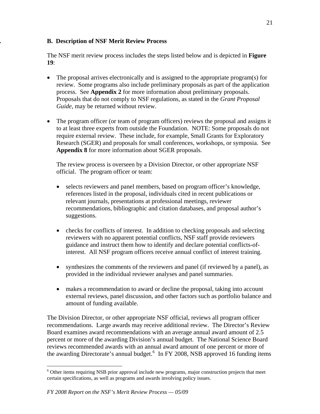# **. B. Description of NSF Merit Review Process**

The NSF merit review process includes the steps listed below and is depicted in **Figure 19**:

- The proposal arrives electronically and is assigned to the appropriate program(s) for review. Some programs also include preliminary proposals as part of the application process. See **Appendix 2** for more information about preliminary proposals. Proposals that do not comply to NSF regulations, as stated in the *Grant Proposal Guide*, may be returned without review.
- The program officer (or team of program officers) reviews the proposal and assigns it to at least three experts from outside the Foundation. NOTE: Some proposals do not require external review. These include, for example, Small Grants for Exploratory Research (SGER) and proposals for small conferences, workshops, or symposia. See **Appendix 8** for more information about SGER proposals.

 The review process is overseen by a Division Director, or other appropriate NSF official. The program officer or team:

- selects reviewers and panel members, based on program officer's knowledge, references listed in the proposal, individuals cited in recent publications or relevant journals, presentations at professional meetings, reviewer recommendations, bibliographic and citation databases, and proposal author's suggestions.
- checks for conflicts of interest. In addition to checking proposals and selecting reviewers with no apparent potential conflicts, NSF staff provide reviewers guidance and instruct them how to identify and declare potential conflicts-ofinterest. All NSF program officers receive annual conflict of interest training.
- synthesizes the comments of the reviewers and panel (if reviewed by a panel), as provided in the individual reviewer analyses and panel summaries.
- makes a recommendation to award or decline the proposal, taking into account external reviews, panel discussion, and other factors such as portfolio balance and amount of funding available.

The Division Director, or other appropriate NSF official, reviews all program officer recommendations. Large awards may receive additional review. The Director's Review Board examines award recommendations with an average annual award amount of 2.5 percent or more of the awarding Division's annual budget. The National Science Board reviews recommended awards with an annual award amount of one percent or more of the awarding Directorate's annual budget.<sup>[6](#page-20-0)</sup> In FY 2008, NSB approved 16 funding items

 $\overline{a}$ 

<span id="page-20-0"></span><sup>&</sup>lt;sup>6</sup> Other items requiring NSB prior approval include new programs, major construction projects that meet certain specifications, as well as programs and awards involving policy issues.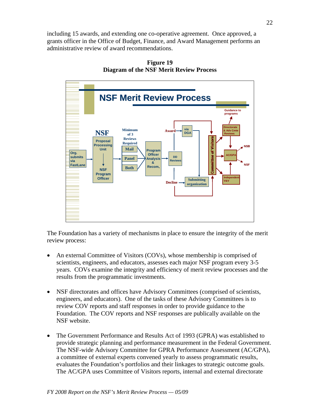including 15 awards, and extending one co-operative agreement. Once approved, a grants officer in the Office of Budget, Finance, and Award Management performs an administrative review of award recommendations.



**Figure 19 Diagram of the NSF Merit Review Process** 

The Foundation has a variety of mechanisms in place to ensure the integrity of the merit review process:

- An external Committee of Visitors (COVs), whose membership is comprised of scientists, engineers, and educators, assesses each major NSF program every 3-5 years. COVs examine the integrity and efficiency of merit review processes and the results from the programmatic investments.
- NSF directorates and offices have Advisory Committees (comprised of scientists, engineers, and educators). One of the tasks of these Advisory Committees is to review COV reports and staff responses in order to provide guidance to the Foundation. The COV reports and NSF responses are publically available on the NSF website.
- The Government Performance and Results Act of 1993 (GPRA) was established to provide strategic planning and performance measurement in the Federal Government. The NSF-wide Advisory Committee for GPRA Performance Assessment (AC/GPA), a committee of external experts convened yearly to assess programmatic results, evaluates the Foundation's portfolios and their linkages to strategic outcome goals. The AC/GPA uses Committee of Visitors reports, internal and external directorate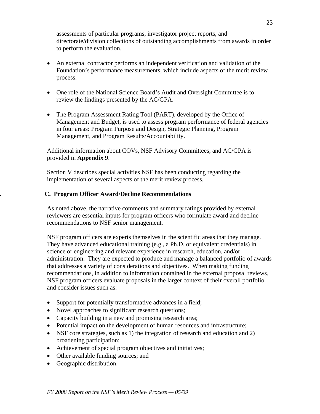assessments of particular programs, investigator project reports, and directorate/division collections of outstanding accomplishments from awards in order to perform the evaluation.

- An external contractor performs an independent verification and validation of the Foundation's performance measurements, which include aspects of the merit review process.
- One role of the National Science Board's Audit and Oversight Committee is to review the findings presented by the AC/GPA.
- The Program Assessment Rating Tool (PART), developed by the Office of Management and Budget, is used to assess program performance of federal agencies in four areas: Program Purpose and Design, Strategic Planning, Program Management, and Program Results/Accountability.

Additional information about COVs, NSF Advisory Committees, and AC/GPA is provided in **Appendix 9**.

Section V describes special activities NSF has been conducting regarding the implementation of several aspects of the merit review process.

# **. C. Program Officer Award/Decline Recommendations**

As noted above, the narrative comments and summary ratings provided by external reviewers are essential inputs for program officers who formulate award and decline recommendations to NSF senior management.

NSF program officers are experts themselves in the scientific areas that they manage. They have advanced educational training (e.g., a Ph.D. or equivalent credentials) in science or engineering and relevant experience in research, education, and/or administration. They are expected to produce and manage a balanced portfolio of awards that addresses a variety of considerations and objectives. When making funding recommendations, in addition to information contained in the external proposal reviews, NSF program officers evaluate proposals in the larger context of their overall portfolio and consider issues such as:

- Support for potentially transformative advances in a field;
- Novel approaches to significant research questions;
- Capacity building in a new and promising research area;
- Potential impact on the development of human resources and infrastructure;
- NSF core strategies, such as 1) the integration of research and education and 2) broadening participation;
- Achievement of special program objectives and initiatives;
- Other available funding sources; and
- Geographic distribution.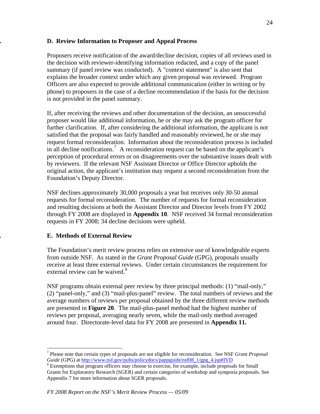## **. D. Review Information to Proposer and Appeal Process**

Proposers receive notification of the award/decline decision, copies of all reviews used in the decision with reviewer-identifying information redacted, and a copy of the panel summary (if panel review was conducted). A "context statement" is also sent that explains the broader context under which any given proposal was reviewed. Program Officers are also expected to provide additional communication (either in writing or by phone) to proposers in the case of a decline recommendation if the basis for the decision is not provided in the panel summary.

If, after receiving the reviews and other documentation of the decision, an unsuccessful proposer would like additional information, he or she may ask the program officer for further clarification. If, after considering the additional information, the applicant is not satisfied that the proposal was fairly handled and reasonably reviewed, he or she may request formal reconsideration. Information about the reconsideration process is included in all decline notifications.<sup>[7](#page-23-0)</sup> A reconsideration request can be based on the applicant's perception of procedural errors or on disagreements over the substantive issues dealt with by reviewers. If the relevant NSF Assistant Director or Office Director upholds the original action, the applicant's institution may request a second reconsideration from the Foundation's Deputy Director.

NSF declines approximately 30,000 proposals a year but receives only 30-50 annual requests for formal reconsideration. The number of requests for formal reconsideration and resulting decisions at both the Assistant Director and Director levels from FY 2002 through FY 2008 are displayed in **Appendix 10**. NSF received 34 formal reconsideration requests in FY 2008; 34 decline decisions were upheld.

# **. E. Methods of External Review**

 $\overline{a}$ 

The Foundation's merit review process relies on extensive use of knowledgeable experts from outside NSF. As stated in the *Grant Proposal Guide* (GPG), proposals usually receive at least three external reviews. Under certain circumstances the requirement for external review can be waived.<sup>[8](#page-23-1)</sup>

NSF programs obtain external peer review by three principal methods: (1) "mail-only," (2) "panel-only," and (3) "mail-plus-panel" review. The total numbers of reviews and the average numbers of reviews per proposal obtained by the three different review methods are presented in **Figure 20**. The mail-plus-panel method had the highest number of reviews per proposal, averaging nearly seven, while the mail-only method averaged around four. Directorate-level data for FY 2008 are presented in **Appendix 11.** 

<span id="page-23-0"></span><sup>7</sup> Please note that certain types of proposals are not eligible for reconsideration. See NSF *Grant Proposal Guide* (GPG) at [http://www.nsf.gov/pubs/policydocs/pappguide/nsf08\\_1/gpg\\_4.jsp#IVD](http://www.nsf.gov/pubs/policydocs/pappguide/nsf08_1/gpg_4.jsp#IVD)

<span id="page-23-1"></span><sup>&</sup>lt;sup>8</sup> Exemptions that program officers may choose to exercise, for example, include proposals for Small Grants for Exploratory Research (SGER) and certain categories of workshop and symposia proposals. See Appendix 7 for more information about SGER proposals.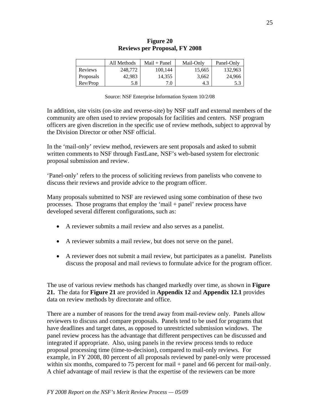|           | All Methods | $Mail + Panel$ | Mail-Only | Panel-Only |
|-----------|-------------|----------------|-----------|------------|
| Reviews   | 248,772     | 100.144        | 15,665    | 132,963    |
| Proposals | 42.983      | 14,355         | 3.662     | 24,966     |
| Rev/Prop  | 5.8         | 7.0            | 4.3       | 5.3        |

#### **Figure 20 Reviews per Proposal, FY 2008**

In addition, site visits (on-site and reverse-site) by NSF staff and external members of the community are often used to review proposals for facilities and centers. NSF program officers are given discretion in the specific use of review methods, subject to approval by the Division Director or other NSF official.

In the 'mail-only' review method, reviewers are sent proposals and asked to submit written comments to NSF through FastLane, NSF's web-based system for electronic proposal submission and review.

'Panel-only' refers to the process of soliciting reviews from panelists who convene to discuss their reviews and provide advice to the program officer.

Many proposals submitted to NSF are reviewed using some combination of these two processes. Those programs that employ the 'mail + panel' review process have developed several different configurations, such as:

- A reviewer submits a mail review and also serves as a panelist.
- A reviewer submits a mail review, but does not serve on the panel.
- A reviewer does not submit a mail review, but participates as a panelist. Panelists discuss the proposal and mail reviews to formulate advice for the program officer.

The use of various review methods has changed markedly over time, as shown in **Figure 21.** The data for **Figure 21** are provided in **Appendix 12** and **Appendix 12.1** provides data on review methods by directorate and office.

There are a number of reasons for the trend away from mail-review only. Panels allow reviewers to discuss and compare proposals. Panels tend to be used for programs that have deadlines and target dates, as opposed to unrestricted submission windows. The panel review process has the advantage that different perspectives can be discussed and integrated if appropriate. Also, using panels in the review process tends to reduce proposal processing time (time-to-decision), compared to mail-only reviews. For example, in FY 2008, 80 percent of all proposals reviewed by panel-only were processed within six months, compared to 75 percent for mail + panel and 66 percent for mail-only. A chief advantage of mail review is that the expertise of the reviewers can be more

Source: NSF Enterprise Information System 10/2/08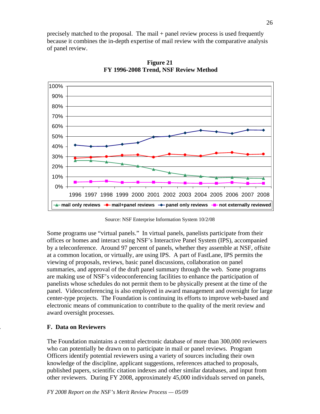precisely matched to the proposal. The mail + panel review process is used frequently because it combines the in-depth expertise of mail review with the comparative analysis of panel review.



**Figure 21 FY 1996-2008 Trend, NSF Review Method** 

Source: NSF Enterprise Information System 10/2/08

Some programs use "virtual panels." In virtual panels, panelists participate from their offices or homes and interact using NSF's Interactive Panel System (IPS), accompanied by a teleconference. Around 97 percent of panels, whether they assemble at NSF, offsite at a common location, or virtually, are using IPS. A part of FastLane, IPS permits the viewing of proposals, reviews, basic panel discussions, collaboration on panel summaries, and approval of the draft panel summary through the web. Some programs are making use of NSF's videoconferencing facilities to enhance the participation of panelists whose schedules do not permit them to be physically present at the time of the panel. Videoconferencing is also employed in award management and oversight for large center-type projects. The Foundation is continuing its efforts to improve web-based and electronic means of communication to contribute to the quality of the merit review and award oversight processes.

# **. F. Data on Reviewers**

The Foundation maintains a central electronic database of more than 300,000 reviewers who can potentially be drawn on to participate in mail or panel reviews. Program Officers identify potential reviewers using a variety of sources including their own knowledge of the discipline, applicant suggestions, references attached to proposals, published papers, scientific citation indexes and other similar databases, and input from other reviewers. During FY 2008, approximately 45,000 individuals served on panels,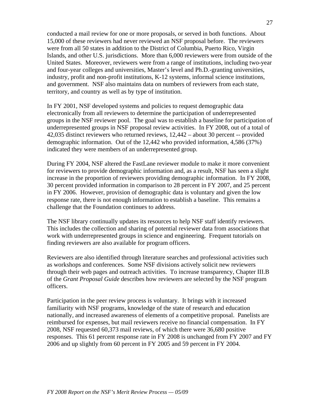conducted a mail review for one or more proposals, or served in both functions. About 15,000 of these reviewers had never reviewed an NSF proposal before. The reviewers were from all 50 states in addition to the District of Columbia, Puerto Rico, Virgin Islands, and other U.S. jurisdictions. More than 6,000 reviewers were from outside of the United States. Moreover, reviewers were from a range of institutions, including two-year and four-year colleges and universities, Master's level and Ph.D.-granting universities, industry, profit and non-profit institutions, K-12 systems, informal science institutions, and government. NSF also maintains data on numbers of reviewers from each state, territory, and country as well as by type of institution.

In FY 2001, NSF developed systems and policies to request demographic data electronically from all reviewers to determine the participation of underrepresented groups in the NSF reviewer pool. The goal was to establish a baseline for participation of underrepresented groups in NSF proposal review activities. In FY 2008, out of a total of 42,035 distinct reviewers who returned reviews, 12,442 – about 30 percent -- provided demographic information. Out of the 12,442 who provided information, 4,586 (37%) indicated they were members of an underrepresented group.

During FY 2004, NSF altered the FastLane reviewer module to make it more convenient for reviewers to provide demographic information and, as a result, NSF has seen a slight increase in the proportion of reviewers providing demographic information. In FY 2008, 30 percent provided information in comparison to 28 percent in FY 2007, and 25 percent in FY 2006. However, provision of demographic data is voluntary and given the low response rate, there is not enough information to establish a baseline. This remains a challenge that the Foundation continues to address.

The NSF library continually updates its resources to help NSF staff identify reviewers. This includes the collection and sharing of potential reviewer data from associations that work with underrepresented groups in science and engineering. Frequent tutorials on finding reviewers are also available for program officers.

Reviewers are also identified through literature searches and professional activities such as workshops and conferences. Some NSF divisions actively solicit new reviewers through their web pages and outreach activities. To increase transparency, Chapter III.B of the *Grant Proposal Guide* describes how reviewers are selected by the NSF program officers.

Participation in the peer review process is voluntary. It brings with it increased familiarity with NSF programs, knowledge of the state of research and education nationally, and increased awareness of elements of a competitive proposal. Panelists are reimbursed for expenses, but mail reviewers receive no financial compensation. In FY 2008, NSF requested 60,373 mail reviews, of which there were 36,680 positive responses. This 61 percent response rate in FY 2008 is unchanged from FY 2007 and FY 2006 and up slightly from 60 percent in FY 2005 and 59 percent in FY 2004.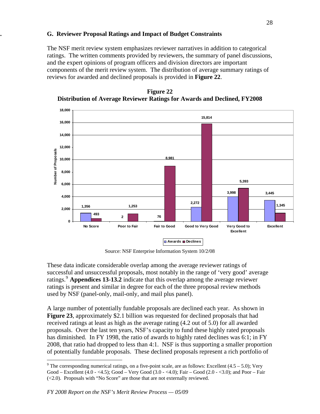#### **G. G. Reviewer Proposal Ratings and Impact of Budget Constraints**

The NSF merit review system emphasizes reviewer narratives in addition to categorical ratings. The written comments provided by reviewers, the summary of panel discussions, and the expert opinions of program officers and division directors are important components of the merit review system. The distribution of average summary ratings of reviews for awarded and declined proposals is provided in **Figure 22**.



**Figure 22 Distribution of Average Reviewer Ratings for Awards and Declined, FY2008**

Source: NSF Enterprise Information System 10/2/08

These data indicate considerable overlap among the average reviewer ratings of successful and unsuccessful proposals, most notably in the range of 'very good' average ratings.[9](#page-27-0) **Appendices 13-13.2** indicate that this overlap among the average reviewer ratings is present and similar in degree for each of the three proposal review methods used by NSF (panel-only, mail-only, and mail plus panel).

A large number of potentially fundable proposals are declined each year. As shown in **Figure 23**, approximately \$2.1 billion was requested for declined proposals that had received ratings at least as high as the average rating (4.2 out of 5.0) for all awarded proposals. Over the last ten years, NSF's capacity to fund these highly rated proposals has diminished. In FY 1998, the ratio of awards to highly rated declines was 6:1; in FY 2008, that ratio had dropped to less than 4:1. NSF is thus supporting a smaller proportion of potentially fundable proposals. These declined proposals represent a rich portfolio of

1

<span id="page-27-0"></span><sup>&</sup>lt;sup>9</sup> The corresponding numerical ratings, on a five-point scale, are as follows: Excellent  $(4.5 - 5.0)$ ; Very Good – Excellent (4.0 - <4.5); Good – Very Good (3.0 - <4.0); Fair – Good (2.0 - <3.0); and Poor – Fair (<2.0). Proposals with "No Score" are those that are not externally reviewed.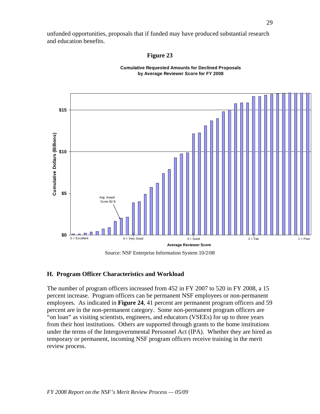unfunded opportunities, proposals that if funded may have produced substantial research and education benefits.

#### **Figure 23**



**Cumulative Requested Amounts for Declined Proposals by Average Reviewer Score for FY 2008**

Source: NSF Enterprise Information System 10/2/08

#### **H. Program Officer Characteristics and Workload**

The number of program officers increased from 452 in FY 2007 to 520 in FY 2008, a 15 percent increase. Program officers can be permanent NSF employees or non-permanent employees. As indicated in **Figure 24**, 41 percent are permanent program officers and 59 percent are in the non-permanent category. Some non-permanent program officers are "on loan" as visiting scientists, engineers, and educators (VSEEs) for up to three years from their host institutions. Others are supported through grants to the home institutions under the terms of the Intergovernmental Personnel Act (IPA). Whether they are hired as temporary or permanent, incoming NSF program officers receive training in the merit review process.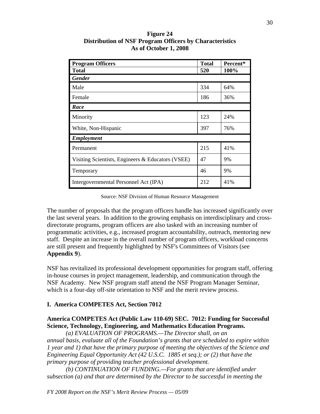| <b>Program Officers</b>                           | <b>Total</b> | Percent* |
|---------------------------------------------------|--------------|----------|
| <b>Total</b>                                      | 520          | 100%     |
| <b>Gender</b>                                     |              |          |
| Male                                              | 334          | 64%      |
| Female                                            | 186          | 36%      |
| Race                                              |              |          |
| Minority                                          | 123          | 24%      |
| White, Non-Hispanic                               | 397          | 76%      |
| <b>Employment</b>                                 |              |          |
| Permanent                                         | 215          | 41%      |
| Visiting Scientists, Engineers & Educators (VSEE) | 47           | 9%       |
| Temporary                                         | 46           | 9%       |
| Intergovernmental Personnel Act (IPA)             | 212          | 41%      |

**Figure 24 Distribution of NSF Program Officers by Characteristics As of October 1, 2008** 

Source: NSF Division of Human Resource Management

The number of proposals that the program officers handle has increased significantly over the last several years. In addition to the growing emphasis on interdisciplinary and crossdirectorate programs, program officers are also tasked with an increasing number of programmatic activities, e.g., increased program accountability, outreach, mentoring new staff. Despite an increase in the overall number of program officers, workload concerns are still present and frequently highlighted by NSF's Committees of Visitors (see **Appendix 9**).

NSF has revitalized its professional development opportunities for program staff, offering in-house courses in project management, leadership, and communication through the NSF Academy. New NSF program staff attend the NSF Program Manager Seminar, which is a four-day off-site orientation to NSF and the merit review process.

#### **I. America COMPETES Act, Section 7012**

# **America COMPETES Act (Public Law 110-69) SEC. 7012: Funding for Successful Science, Technology, Engineering, and Mathematics Education Programs.**

*(a) EVALUATION OF PROGRAMS.—The Director shall, on an annual basis, evaluate all of the Foundation's grants that are scheduled to expire within 1 year and 1) that have the primary purpose of meeting the objectives of the Science and Engineering Equal Opportunity Act (42 U.S.C. 1885 et seq.); or (2) that have the primary purpose of providing teacher professional development.* 

*(b) CONTINUATION OF FUNDING.—For grants that are identified under subsection (a) and that are determined by the Director to be successful in meeting the*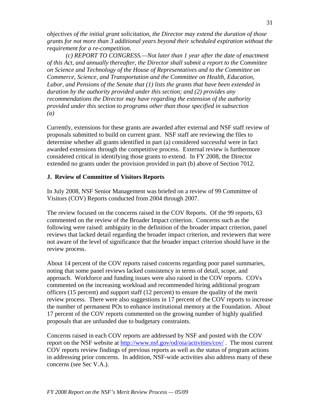*objectives of the initial grant solicitation, the Director may extend the duration of those grants for not more than 3 additional years beyond their scheduled expiration without the requirement for a re-competition.* 

*(c) REPORT TO CONGRESS.—Not later than 1 year after the date of enactment of this Act, and annually thereafter, the Director shall submit a report to the Committee on Science and Technology of the House of Representatives and to the Committee on Commerce, Science, and Transportation and the Committee on Health, Education, Labor, and Pensions of the Senate that (1) lists the grants that have been extended in duration by the authority provided under this section; and (2) provides any recommendations the Director may have regarding the extension of the authority provided under this section to programs other than those specified in subsection (a)* 

Currently, extensions for these grants are awarded after external and NSF staff review of proposals submitted to build on current grant. NSF staff are reviewing the files to determine whether all grants identified in part (a) considered successful were in fact awarded extensions through the competitive process. External review is furthermore considered critical in identifying those grants to extend. In FY 2008, the Director extended no grants under the provision provided in part (b) above of Section 7012.

# **J. Review of Committee of Visitors Reports**

In July 2008, NSF Senior Management was briefed on a review of 99 Committee of Visitors (COV) Reports conducted from 2004 through 2007.

The review focused on the concerns raised in the COV Reports. Of the 99 reports, 63 commented on the review of the Broader Impact criterion. Concerns such as the following were raised: ambiguity in the definition of the broader impact criterion, panel reviews that lacked detail regarding the broader impact criterion, and reviewers that were not aware of the level of significance that the broader impact criterion should have in the review process.

About 14 percent of the COV reports raised concerns regarding poor panel summaries, noting that some panel reviews lacked consistency in terms of detail, scope, and approach. Workforce and funding issues were also raised in the COV reports. COVs commented on the increasing workload and recommended hiring additional program officers (15 percent) and support staff (12 percent) to ensure the quality of the merit review process. There were also suggestions in 17 percent of the COV reports to increase the number of permanent POs to enhance institutional memory at the Foundation. About 17 percent of the COV reports commented on the growing number of highly qualified proposals that are unfunded due to budgetary constraints.

Concerns raised in each COV reports are addressed by NSF and posted with the COV report on the NSF website at <http://www.nsf.gov/od/oia/activities/cov/>. The most current COV reports review findings of previous reports as well as the status of program actions in addressing prior concerns. In addition, NSF-wide activities also address many of these concerns (see Sec V.A.).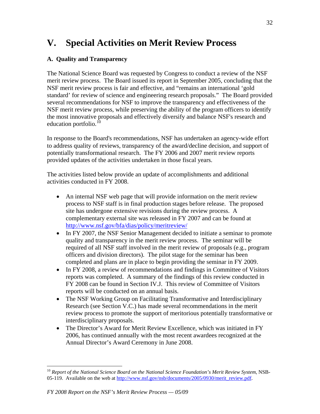# **V. Special Activities on Merit Review Process**

# **A. Quality and Transparency**

The National Science Board was requested by Congress to conduct a review of the NSF merit review process. The Board issued its report in September 2005, concluding that the NSF merit review process is fair and effective, and "remains an international 'gold standard' for review of science and engineering research proposals." The Board provided several recommendations for NSF to improve the transparency and effectiveness of the NSF merit review process, while preserving the ability of the program officers to identify the most innovative proposals and effectively diversify and balance NSF's research and education portfolio.<sup>[10](#page-31-0)</sup>

In response to the Board's recommendations, NSF has undertaken an agency-wide effort to address quality of reviews, transparency of the award/decline decision, and support of potentially transformational research. The FY 2006 and 2007 merit review reports provided updates of the activities undertaken in those fiscal years.

The activities listed below provide an update of accomplishments and additional activities conducted in FY 2008.

- An internal NSF web page that will provide information on the merit review process to NSF staff is in final production stages before release. The proposed site has undergone extensive revisions during the review process. A complementary external site was released in FY 2007 and can be found at <http://www.nsf.gov/bfa/dias/policy/meritreview/>
- In FY 2007, the NSF Senior Management decided to initiate a seminar to promote quality and transparency in the merit review process. The seminar will be required of all NSF staff involved in the merit review of proposals (e.g., program officers and division directors). The pilot stage for the seminar has been completed and plans are in place to begin providing the seminar in FY 2009.
- In FY 2008, a review of recommendations and findings in Committee of Visitors reports was completed. A summary of the findings of this review conducted in FY 2008 can be found in Section IV.J. This review of Committee of Visitors reports will be conducted on an annual basis.
- The NSF Working Group on Facilitating Transformative and Interdisciplinary Research (see Section V.C.) has made several recommendations in the merit review process to promote the support of meritorious potentially transformative or interdisciplinary proposals.
- The Director's Award for Merit Review Excellence, which was initiated in FY 2006, has continued annually with the most recent awardees recognized at the Annual Director's Award Ceremony in June 2008.

 $\overline{a}$ 

<span id="page-31-0"></span><sup>10</sup> *Report of the National Science Board on the National Science Foundation's Merit Review System*, NSB05-119. Available on the web at [http://www.nsf.gov/nsb/documents/2005/0930/merit\\_review.pdf](http://www.nsf.gov/nsb/documents/2005/0930/merit_review.pdf).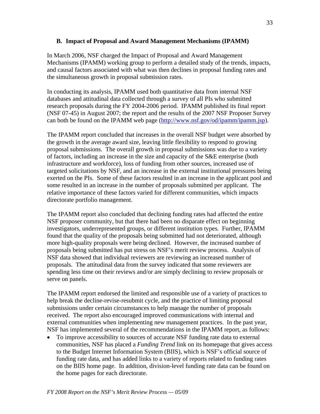#### **B. Impact of Proposal and Award Management Mechanisms (IPAMM)**

In March 2006, NSF charged the Impact of Proposal and Award Management Mechanisms (IPAMM) working group to perform a detailed study of the trends, impacts, and causal factors associated with what was then declines in proposal funding rates and the simultaneous growth in proposal submission rates.

In conducting its analysis, IPAMM used both quantitative data from internal NSF databases and attitudinal data collected through a survey of all PIs who submitted research proposals during the FY 2004-2006 period. IPAMM published its final report (NSF 07-45) in August 2007; the report and the results of the 2007 NSF Proposer Survey can both be found on the IPAMM web page [\(http://www.nsf.gov/od/ipamm/ipamm.jsp](http://www.nsf.gov/od/ipamm/ipamm.jsp)).

The IPAMM report concluded that increases in the overall NSF budget were absorbed by the growth in the average award size, leaving little flexibility to respond to growing proposal submissions. The overall growth in proposal submissions was due to a variety of factors, including an increase in the size and capacity of the S&E enterprise (both infrastructure and workforce), loss of funding from other sources, increased use of targeted solicitations by NSF, and an increase in the external institutional pressures being exerted on the PIs. Some of these factors resulted in an increase in the applicant pool and some resulted in an increase in the number of proposals submitted per applicant. The relative importance of these factors varied for different communities, which impacts directorate portfolio management.

The IPAMM report also concluded that declining funding rates had affected the entire NSF proposer community, but that there had been no disparate effect on beginning investigators, underrepresented groups, or different institution types. Further, IPAMM found that the quality of the proposals being submitted had not deteriorated, although more high-quality proposals were being declined. However, the increased number of proposals being submitted has put stress on NSF's merit review process. Analysis of NSF data showed that individual reviewers are reviewing an increased number of proposals. The attitudinal data from the survey indicated that some reviewers are spending less time on their reviews and/or are simply declining to review proposals or serve on panels.

The IPAMM report endorsed the limited and responsible use of a variety of practices to help break the decline-revise-resubmit cycle, and the practice of limiting proposal submissions under certain circumstances to help manage the number of proposals received. The report also encouraged improved communications with internal and external communities when implementing new management practices. In the past year, NSF has implemented several of the recommendations in the IPAMM report, as follows:

• To improve accessibility to sources of accurate NSF funding rate data to external communities, NSF has placed a *Funding Trend* link on its homepage that gives access to the Budget Internet Information System (BIIS), which is NSF's official source of funding rate data, and has added links to a variety of reports related to funding rates on the BIIS home page. In addition, division-level funding rate data can be found on the home pages for each directorate.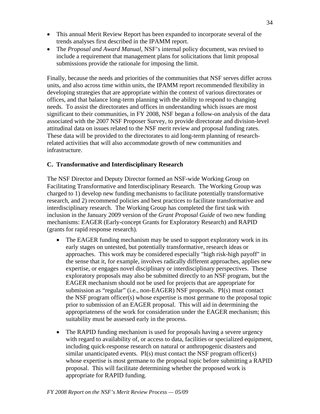- This annual Merit Review Report has been expanded to incorporate several of the trends analyses first described in the IPAMM report.
- The *Proposal and Award Manual*, NSF's internal policy document, was revised to include a requirement that management plans for solicitations that limit proposal submissions provide the rationale for imposing the limit.

Finally, because the needs and priorities of the communities that NSF serves differ across units, and also across time within units, the IPAMM report recommended flexibility in developing strategies that are appropriate within the context of various directorates or offices, and that balance long-term planning with the ability to respond to changing needs. To assist the directorates and offices in understanding which issues are most significant to their communities, in FY 2008, NSF began a follow-on analysis of the data associated with the 2007 NSF Proposer Survey, to provide directorate and division-level attitudinal data on issues related to the NSF merit review and proposal funding rates. These data will be provided to the directorates to aid long-term planning of researchrelated activities that will also accommodate growth of new communities and infrastructure.

#### **C. Transformative and Interdisciplinary Research**

The NSF Director and Deputy Director formed an NSF-wide Working Group on Facilitating Transformative and Interdisciplinary Research. The Working Group was charged to 1) develop new funding mechanisms to facilitate potentially transformative research, and 2) recommend policies and best practices to facilitate transformative and interdisciplinary research. The Working Group has completed the first task with inclusion in the January 2009 version of the *Grant Proposal Guide* of two new funding mechanisms: EAGER (Early-concept Grants for Exploratory Research) and RAPID (grants for rapid response research).

- The EAGER funding mechanism may be used to support exploratory work in its early stages on untested, but potentially transformative, research ideas or approaches. This work may be considered especially "high risk-high payoff" in the sense that it, for example, involves radically different approaches, applies new expertise, or engages novel disciplinary or interdisciplinary perspectives. These exploratory proposals may also be submitted directly to an NSF program, but the EAGER mechanism should not be used for projects that are appropriate for submission as "regular" (i.e., non-EAGER) NSF proposals. PI(s) must contact the NSF program officer(s) whose expertise is most germane to the proposal topic prior to submission of an EAGER proposal. This will aid in determining the appropriateness of the work for consideration under the EAGER mechanism; this suitability must be assessed early in the process.
- The RAPID funding mechanism is used for proposals having a severe urgency with regard to availability of, or access to data, facilities or specialized equipment, including quick-response research on natural or anthropogenic disasters and similar unanticipated events. PI(s) must contact the NSF program officer(s) whose expertise is most germane to the proposal topic before submitting a RAPID proposal. This will facilitate determining whether the proposed work is appropriate for RAPID funding.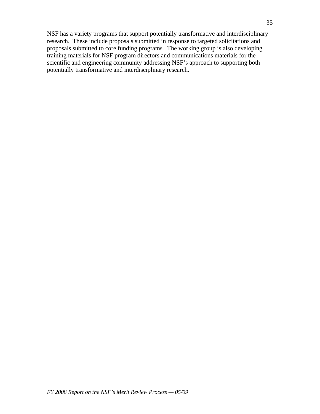NSF has a variety programs that support potentially transformative and interdisciplinary research. These include proposals submitted in response to targeted solicitations and proposals submitted to core funding programs. The working group is also developing training materials for NSF program directors and communications materials for the scientific and engineering community addressing NSF's approach to supporting both potentially transformative and interdisciplinary research.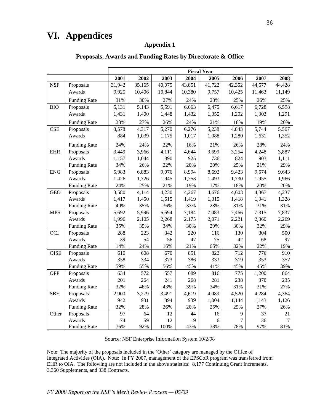# **VI. Appendices**

### **Appendix 1**

|             |                     |        |        |        |        | <b>Fiscal Year</b> |        |        |        |
|-------------|---------------------|--------|--------|--------|--------|--------------------|--------|--------|--------|
|             |                     | 2001   | 2002   | 2003   | 2004   | 2005               | 2006   | 2007   | 2008   |
| <b>NSF</b>  | Proposals           | 31,942 | 35,165 | 40,075 | 43,851 | 41,722             | 42,352 | 44,577 | 44,428 |
|             | Awards              | 9,925  | 10,406 | 10,844 | 10,380 | 9,757              | 10,425 | 11,463 | 11,149 |
|             | <b>Funding Rate</b> | 31%    | 30%    | 27%    | 24%    | 23%                | 25%    | 26%    | 25%    |
| <b>BIO</b>  | Proposals           | 5,131  | 5,143  | 5,591  | 6,063  | 6,475              | 6,617  | 6,728  | 6,598  |
|             | Awards              | 1,431  | 1,400  | 1,448  | 1,432  | 1,355              | 1,202  | 1,303  | 1,291  |
|             | <b>Funding Rate</b> | 28%    | 27%    | 26%    | 24%    | 21%                | 18%    | 19%    | 20%    |
| <b>CSE</b>  | Proposals           | 3,578  | 4,317  | 5,270  | 6,276  | 5,238              | 4,843  | 5,744  | 5,567  |
|             | Awards              | 884    | 1,039  | 1,175  | 1,017  | 1,088              | 1,280  | 1,631  | 1,352  |
|             | <b>Funding Rate</b> | 24%    | 24%    | 22%    | 16%    | 21%                | 26%    | 28%    | 24%    |
| <b>EHR</b>  | Proposals           | 3,449  | 3,966  | 4,111  | 4,644  | 3,699              | 3,254  | 4,248  | 3,887  |
|             | Awards              | 1,157  | 1,044  | 890    | 925    | 736                | 824    | 903    | 1,111  |
|             | <b>Funding Rate</b> | 34%    | 26%    | 22%    | 20%    | 20%                | 25%    | 21%    | 29%    |
| <b>ENG</b>  | Proposals           | 5,983  | 6,883  | 9,076  | 8,994  | 8,692              | 9,423  | 9,574  | 9,643  |
|             | Awards              | 1,426  | 1,726  | 1,945  | 1,753  | 1,493              | 1,730  | 1,955  | 1,966  |
|             | <b>Funding Rate</b> | 24%    | 25%    | 21%    | 19%    | 17%                | 18%    | 20%    | 20%    |
| <b>GEO</b>  | Proposals           | 3,580  | 4,114  | 4,230  | 4,267  | 4,676              | 4,603  | 4,367  | 4,237  |
|             | Awards              | 1,417  | 1,450  | 1,515  | 1,419  | 1,315              | 1,418  | 1,341  | 1,328  |
|             | <b>Funding Rate</b> | 40%    | 35%    | 36%    | 33%    | 28%                | 31%    | 31%    | 31%    |
| <b>MPS</b>  | Proposals           | 5,692  | 5,996  | 6,694  | 7,184  | 7,083              | 7,466  | 7,315  | 7,837  |
|             | Awards              | 1,996  | 2,105  | 2,268  | 2,175  | 2,071              | 2,221  | 2,360  | 2,269  |
|             | <b>Funding Rate</b> | 35%    | 35%    | 34%    | 30%    | 29%                | 30%    | 32%    | 29%    |
| <b>OCI</b>  | Proposals           | 288    | 223    | 342    | 220    | 116                | 130    | 304    | 500    |
|             | Awards              | 39     | 54     | 56     | 47     | 75                 | 42     | 68     | 97     |
|             | <b>Funding Rate</b> | 14%    | 24%    | 16%    | 21%    | 65%                | 32%    | 22%    | 19%    |
| <b>OISE</b> | Proposals           | 610    | 608    | 670    | 851    | 822                | 712    | 776    | 910    |
|             | Awards              | 358    | 334    | 373    | 386    | 333                | 319    | 353    | 357    |
|             | <b>Funding Rate</b> | 59%    | 55%    | 56%    | 45%    | 41%                | 45%    | 45%    | 39%    |
| <b>OPP</b>  | Proposals           | 634    | 572    | 557    | 689    | 816                | 775    | 1,200  | 864    |
|             | Awards              | 201    | 264    | 241    | 268    | 281                | 238    | 370    | 235    |
|             | <b>Funding Rate</b> | 32%    | 46%    | 43%    | 39%    | 34%                | 31%    | 31%    | 27%    |
| <b>SBE</b>  | Proposals           | 2,900  | 3,279  | 3,491  | 4,619  | 4,089              | 4,520  | 4,284  | 4,364  |
|             | Awards              | 942    | 931    | 894    | 939    | 1,004              | 1,144  | 1,143  | 1,126  |
|             | <b>Funding Rate</b> | 32%    | 28%    | 26%    | 20%    | 25%                | 25%    | 27%    | 26%    |
| Other       | Proposals           | 97     | 64     | 12     | 44     | 16                 | 9      | 37     | 21     |
|             | Awards              | 74     | 59     | 12     | 19     | 6                  | 7      | 36     | 17     |
|             | <b>Funding Rate</b> | 76%    | 92%    | 100%   | 43%    | 38%                | 78%    | 97%    | 81%    |

#### **Proposals, Awards and Funding Rates by Directorate & Office**

Source: NSF Enterprise Information System 10/2/08

Note: The majority of the proposals included in the 'Other' category are managed by the Office of Integrated Activities (OIA). Note: In FY 2007, management of the EPSCoR program was transferred from EHR to OIA. The following are not included in the above statistics: 8,177 Continuing Grant Increments, 3,360 Supplements, and 338 Contracts.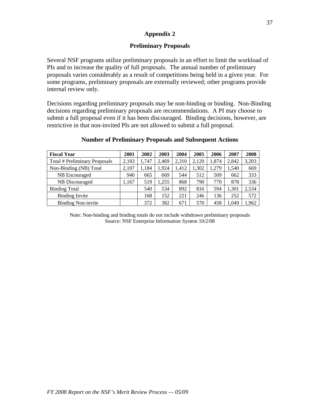# **Preliminary Proposals**

Several NSF programs utilize preliminary proposals in an effort to limit the workload of PIs and to increase the quality of full proposals. The annual number of preliminary proposals varies considerably as a result of competitions being held in a given year. For some programs, preliminary proposals are externally reviewed; other programs provide internal review only.

Decisions regarding preliminary proposals may be non-binding or binding. Non-Binding decisions regarding preliminary proposals are recommendations. A PI may choose to submit a full proposal even if it has been discouraged. Binding decisions, however, are restrictive in that non-invited PIs are not allowed to submit a full proposal.

| <b>Fiscal Year</b>            | 2001  | 2002  | 2003  | 2004  | 2005  | 2006  | 2007  | 2008  |
|-------------------------------|-------|-------|-------|-------|-------|-------|-------|-------|
| Total # Preliminary Proposals | 2,183 | 1.747 | 2.469 | 2,310 | 2.120 | 1,874 | 2,842 | 3,203 |
| Non-Binding (NB) Total        | 2,107 | 1.184 | 1.924 | 1.412 | 1.302 | 1.279 | 1.540 | 669   |
| NB Encouraged                 | 940   | 665   | 669   | 544   | 512   | 509   | 662   | 333   |
| NB Discouraged                | 1.167 | 519   | 1.255 | 868   | 790   | 770   | 878   | 336   |
| <b>Binding Total</b>          |       | 540   | 534   | 892   | 816   | 594   | 1.301 | 2,534 |
| <b>Binding Invite</b>         |       | 168   | 152   | 221   | 246   | 136   | 252   | 572   |
| <b>Binding Non-invite</b>     |       | 372   | 382   | 671   | 570   | 458   | 1,049 | .962  |

#### **Number of Preliminary Proposals and Subsequent Actions**

Note: Non-binding and binding totals do not include withdrawn preliminary proposals Source: NSF Enterprise Information System 10/2/08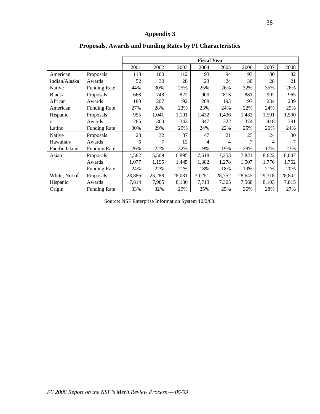|                |                     |        |        |        | <b>Fiscal Year</b> |        |        |        |        |
|----------------|---------------------|--------|--------|--------|--------------------|--------|--------|--------|--------|
|                |                     | 2001   | 2002   | 2003   | 2004               | 2005   | 2006   | 2007   | 2008   |
| American       | Proposals           | 118    | 100    | 112    | 93                 | 94     | 93     | 80     | 82     |
| Indian/Alaska  | Awards              | 52     | 30     | 28     | 23                 | 24     | 30     | 28     | 21     |
| Native         | <b>Funding Rate</b> | 44%    | 30%    | 25%    | 25%                | 26%    | 32%    | 35%    | 26%    |
| Black/         | Proposals           | 668    | 748    | 822    | 900                | 813    | 881    | 992    | 965    |
| African        | Awards              | 180    | 207    | 192    | 208                | 193    | 197    | 234    | 239    |
| American       | <b>Funding Rate</b> | 27%    | 28%    | 23%    | 23%                | 24%    | 22%    | 24%    | 25%    |
| Hispanic       | Proposals           | 955    | 1,041  | 1,191  | 1,432              | 1,436  | 1,483  | 1,591  | 1,590  |
| <sub>or</sub>  | Awards              | 285    | 300    | 342    | 347                | 322    | 374    | 418    | 381    |
| Latino         | <b>Funding Rate</b> | 30%    | 29%    | 29%    | 24%                | 22%    | 25%    | 26%    | 24%    |
| Native         | Proposals           | 23     | 32     | 37     | 47                 | 21     | 25     | 24     | 30     |
| Hawaiian/      | Awards              | 6      | 7      | 12     | 4                  | 4      | 7      | 4      |        |
| Pacific Island | <b>Funding Rate</b> | 26%    | 22%    | 32%    | 9%                 | 19%    | 28%    | 17%    | 23%    |
| Asian          | Proposals           | 4,582  | 5,509  | 6,895  | 7,618              | 7,253  | 7,821  | 8,622  | 8,847  |
|                | Awards              | 1,077  | 1,195  | 1,445  | 1,382              | 1,278  | 1,507  | 1,776  | 1,762  |
|                | <b>Funding Rate</b> | 24%    | 22%    | 21%    | 18%                | 18%    | 19%    | 21%    | 20%    |
| White, Not of  | Proposals           | 23,886 | 25,288 | 28,081 | 30,251             | 28,752 | 28,645 | 29,318 | 28,842 |
| Hispanic       | Awards              | 7,814  | 7,985  | 8,130  | 7,713              | 7,305  | 7,568  | 8,103  | 7,815  |
| Origin         | <b>Funding Rate</b> | 33%    | 32%    | 29%    | 25%                | 25%    | 26%    | 28%    | 27%    |

# **Proposals, Awards and Funding Rates by PI Characteristics**

Source: NSF Enterprise Information System 10/2/08.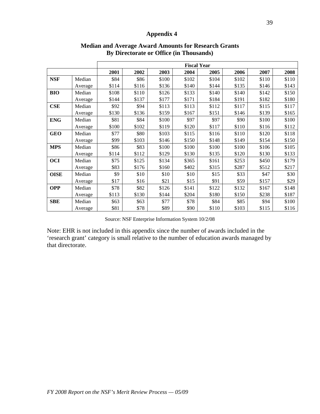|             |         |       |       |       |       | <b>Fiscal Year</b> |       |       |       |
|-------------|---------|-------|-------|-------|-------|--------------------|-------|-------|-------|
|             |         | 2001  | 2002  | 2003  | 2004  | 2005               | 2006  | 2007  | 2008  |
| <b>NSF</b>  | Median  | \$84  | \$86  | \$100 | \$102 | \$104              | \$102 | \$110 | \$110 |
|             | Average | \$114 | \$116 | \$136 | \$140 | \$144              | \$135 | \$146 | \$143 |
| <b>BIO</b>  | Median  | \$108 | \$110 | \$126 | \$133 | \$140              | \$140 | \$142 | \$150 |
|             | Average | \$144 | \$137 | \$177 | \$171 | \$184              | \$191 | \$182 | \$180 |
| CSE         | Median  | \$92  | \$94  | \$113 | \$113 | \$112              | \$117 | \$115 | \$117 |
|             | Average | \$130 | \$136 | \$159 | \$167 | \$151              | \$146 | \$139 | \$165 |
| <b>ENG</b>  | Median  | \$81  | \$84  | \$100 | \$97  | \$97               | \$90  | \$100 | \$100 |
|             | Average | \$100 | \$102 | \$119 | \$120 | \$117              | \$110 | \$116 | \$112 |
| <b>GEO</b>  | Median  | \$77  | \$80  | \$103 | \$115 | \$116              | \$110 | \$120 | \$118 |
|             | Average | \$99  | \$103 | \$146 | \$150 | \$148              | \$149 | \$154 | \$150 |
| <b>MPS</b>  | Median  | \$86  | \$83  | \$100 | \$100 | \$100              | \$100 | \$106 | \$105 |
|             | Average | \$114 | \$112 | \$129 | \$130 | \$135              | \$120 | \$130 | \$133 |
| <b>OCI</b>  | Median  | \$75  | \$125 | \$134 | \$365 | \$161              | \$253 | \$450 | \$179 |
|             | Average | \$83  | \$176 | \$160 | \$402 | \$315              | \$287 | \$512 | \$217 |
| <b>OISE</b> | Median  | \$9   | \$10  | \$10  | \$10  | \$15               | \$33  | \$47  | \$30  |
|             | Average | \$17  | \$16  | \$21  | \$15  | \$91               | \$59  | \$157 | \$29  |
| <b>OPP</b>  | Median  | \$78  | \$82  | \$126 | \$141 | \$122              | \$132 | \$167 | \$148 |
|             | Average | \$113 | \$130 | \$144 | \$204 | \$180              | \$150 | \$238 | \$187 |
| <b>SBE</b>  | Median  | \$63  | \$63  | \$77  | \$78  | \$84               | \$85  | \$94  | \$100 |
|             | Average | \$81  | \$78  | \$89  | \$90  | \$110              | \$103 | \$115 | \$116 |

# **Median and Average Award Amounts for Research Grants By Directorate or Office (in Thousands)**

Source: NSF Enterprise Information System 10/2/08

Note: EHR is not included in this appendix since the number of awards included in the 'research grant' category is small relative to the number of education awards managed by that directorate.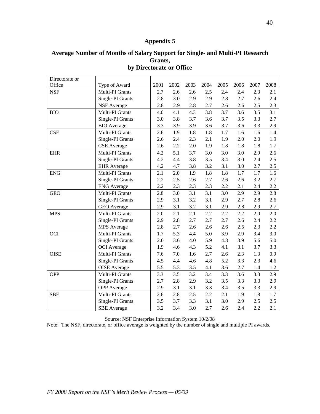## **Average Number of Months of Salary Support for Single- and Multi-PI Research Grants, by Directorate or Office**

| Directorate or |                     |      |      |      |      |      |      |      |      |
|----------------|---------------------|------|------|------|------|------|------|------|------|
| Office         | Type of Award       | 2001 | 2002 | 2003 | 2004 | 2005 | 2006 | 2007 | 2008 |
| <b>NSF</b>     | Multi-PI Grants     | 2.7  | 2.6  | 2.6  | 2.5  | 2.4  | 2.4  | 2.3  | 2.1  |
|                | Single-PI Grants    | 2.8  | 3.0  | 2.9  | 2.9  | 2.8  | 2.7  | 2.6  | 2.4  |
|                | <b>NSF</b> Average  | 2.8  | 2.9  | 2.8  | 2.7  | 2.6  | 2.6  | 2.5  | 2.3  |
| <b>BIO</b>     | Multi-PI Grants     | 4.0  | 4.1  | 4.3  | 3.8  | 3.7  | 3.6  | 3.5  | 3.1  |
|                | Single-PI Grants    | 3.0  | 3.8  | 3.7  | 3.6  | 3.7  | 3.5  | 3.3  | 2.7  |
|                | <b>BIO</b> Average  | 3.3  | 3.9  | 3.9  | 3.6  | 3.7  | 3.6  | 3.3  | 2.9  |
| <b>CSE</b>     | Multi-PI Grants     | 2.6  | 1.9  | 1.8  | 1.8  | 1.7  | 1.6  | 1.6  | 1.4  |
|                | Single-PI Grants    | 2.6  | 2.4  | 2.3  | 2.1  | 1.9  | 2.0  | 2.0  | 1.9  |
|                | <b>CSE</b> Average  | 2.6  | 2.2  | 2.0  | 1.9  | 1.8  | 1.8  | 1.8  | 1.7  |
| <b>EHR</b>     | Multi-PI Grants     | 4.2  | 5.1  | 3.7  | 3.0  | 3.0  | 3.0  | 2.9  | 2.6  |
|                | Single-PI Grants    | 4.2  | 4.4  | 3.8  | 3.5  | 3.4  | 3.0  | 2.4  | 2.5  |
|                | <b>EHR</b> Average  | 4.2  | 4.7  | 3.8  | 3.2  | 3.1  | 3.0  | 2.7  | 2.5  |
| <b>ENG</b>     | Multi-PI Grants     | 2.1  | 2.0  | 1.9  | 1.8  | 1.8  | 1.7  | 1.7  | 1.6  |
|                | Single-PI Grants    | 2.2  | 2.5  | 2.6  | 2.7  | 2.6  | 2.6  | 3.2  | 2.7  |
|                | <b>ENG</b> Average  | 2.2  | 2.3  | 2.3  | 2.3  | 2.2  | 2.1  | 2.4  | 2.2  |
| <b>GEO</b>     | Multi-PI Grants     | 2.8  | 3.0  | 3.1  | 3.1  | 3.0  | 2.9  | 2.9  | 2.8  |
|                | Single-PI Grants    | 2.9  | 3.1  | 3.2  | 3.1  | 2.9  | 2.7  | 2.8  | 2.6  |
|                | <b>GEO</b> Average  | 2.9  | 3.1  | 3.2  | 3.1  | 2.9  | 2.8  | 2.9  | 2.7  |
| <b>MPS</b>     | Multi-PI Grants     | 2.0  | 2.1  | 2.1  | 2.2  | 2.2  | 2.2  | 2.0  | 2.0  |
|                | Single-PI Grants    | 2.9  | 2.8  | 2.7  | 2.7  | 2.7  | 2.6  | 2.4  | 2.2  |
|                | <b>MPS</b> Average  | 2.8  | 2.7  | 2.6  | 2.6  | 2.6  | 2.5  | 2.3  | 2.2  |
| <b>OCI</b>     | Multi-PI Grants     | 1.7  | 5.3  | 4.4  | 5.0  | 3.9  | 2.9  | 3.4  | 3.0  |
|                | Single-PI Grants    | 2.0  | 3.6  | 4.0  | 5.9  | 4.8  | 3.9  | 5.6  | 5.0  |
|                | <b>OCI</b> Average  | 1.9  | 4.6  | 4.3  | 5.2  | 4.1  | 3.1  | 3.7  | 3.3  |
| <b>OISE</b>    | Multi-PI Grants     | 7.6  | 7.0  | 1.6  | 2.7  | 2.6  | 2.3  | 1.3  | 0.9  |
|                | Single-PI Grants    | 4.5  | 4.4  | 4.6  | 4.8  | 5.2  | 3.3  | 2.3  | 4.6  |
|                | <b>OISE</b> Average | 5.5  | 5.3  | 3.5  | 4.1  | 3.6  | 2.7  | 1.4  | 1.2  |
| <b>OPP</b>     | Multi-PI Grants     | 3.3  | 3.5  | 3.2  | 3.4  | 3.3  | 3.6  | 3.3  | 2.9  |
|                | Single-PI Grants    | 2.7  | 2.8  | 2.9  | 3.2  | 3.5  | 3.3  | 3.3  | 2.9  |
|                | <b>OPP</b> Average  | 2.9  | 3.1  | 3.1  | 3.3  | 3.4  | 3.5  | 3.3  | 2.9  |
| <b>SBE</b>     | Multi-PI Grants     | 2.6  | 2.8  | 2.5  | 2.2  | 2.1  | 1.9  | 1.8  | 1.7  |
|                | Single-PI Grants    | 3.5  | 3.7  | 3.3  | 3.1  | 3.0  | 2.9  | 2.5  | 2.5  |
|                | <b>SBE</b> Average  | 3.2  | 3.4  | 3.0  | 2.7  | 2.6  | 2.4  | 2.2  | 2.1  |

Source: NSF Enterprise Information System 10/2/08

Note: The NSF, directorate, or office average is weighted by the number of single and multiple PI awards.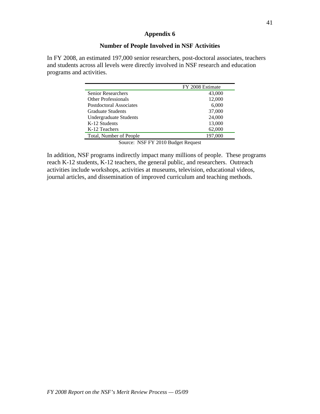# **Number of People Involved in NSF Activities**

In FY 2008, an estimated 197,000 senior researchers, post-doctoral associates, teachers and students across all levels were directly involved in NSF research and education programs and activities.

|                            | FY 2008 Estimate |
|----------------------------|------------------|
| <b>Senior Researchers</b>  | 43,000           |
| <b>Other Professionals</b> | 12,000           |
| Postdoctoral Associates    | 6,000            |
| <b>Graduate Students</b>   | 37,000           |
| Undergraduate Students     | 24,000           |
| K-12 Students              | 13,000           |
| K-12 Teachers              | 62,000           |
| Total, Number of People    | 197,000          |

Source: NSF FY 2010 Budget Request

In addition, NSF programs indirectly impact many millions of people. These programs reach K-12 students, K-12 teachers, the general public, and researchers. Outreach activities include workshops, activities at museums, television, educational videos, journal articles, and dissemination of improved curriculum and teaching methods.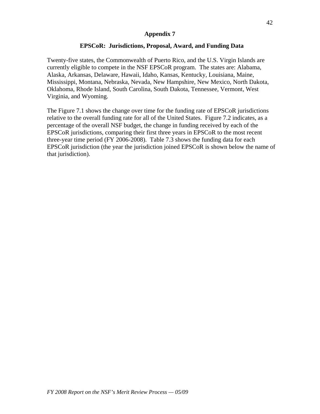# **EPSCoR: Jurisdictions, Proposal, Award, and Funding Data**

Twenty-five states, the Commonwealth of Puerto Rico, and the U.S. Virgin Islands are currently eligible to compete in the NSF EPSCoR program. The states are: Alabama, Alaska, Arkansas, Delaware, Hawaii, Idaho, Kansas, Kentucky, Louisiana, Maine, Mississippi, Montana, Nebraska, Nevada, New Hampshire, New Mexico, North Dakota, Oklahoma, Rhode Island, South Carolina, South Dakota, Tennessee, Vermont, West Virginia, and Wyoming.

The Figure 7.1 shows the change over time for the funding rate of EPSCoR jurisdictions relative to the overall funding rate for all of the United States. Figure 7.2 indicates, as a percentage of the overall NSF budget, the change in funding received by each of the EPSCoR jurisdictions, comparing their first three years in EPSCoR to the most recent three-year time period (FY 2006-2008). Table 7.3 shows the funding data for each EPSCoR jurisdiction (the year the jurisdiction joined EPSCoR is shown below the name of that jurisdiction).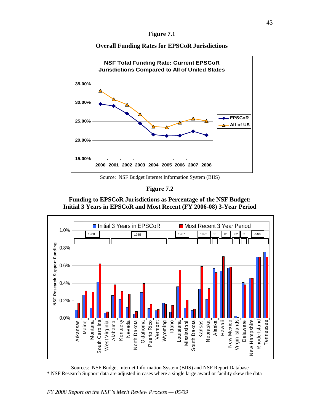| OIII<br>D<br>r<br>- |  |
|---------------------|--|
|---------------------|--|

**Overall Funding Rates for EPSCoR Jurisdictions** 



Source: NSF Budget Internet Information System (BIIS)

**Figure 7.2** 

**Funding to EPSCoR Jurisdictions as Percentage of the NSF Budget: Initial 3 Years in EPSCoR and Most Recent (FY 2006-08) 3-Year Period** 



Sources: NSF Budget Internet Information System (BIIS) and NSF Report Database \* NSF Research Support data are adjusted in cases where a single large award or facility skew the data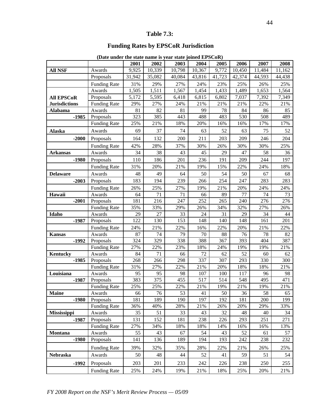#### **Table 7.3:**

# **Funding Rates by EPSCoR Jurisdiction**

|                      |                     | 2001      | 2002      | 2003      | 2004      | 2005      | 2006      | 2007      | 2008      |
|----------------------|---------------------|-----------|-----------|-----------|-----------|-----------|-----------|-----------|-----------|
| <b>All NSF</b>       | Awards              | 9,925     | 10,339    | 10,798    | 10,367    | 9,772     | 10,450    | 11,484    | 11,162    |
|                      | Proposals           | 31,942    | 35,082    | 40,084    | 43,816    | 41,723    | 42,374    | 44,593    | 44,438    |
|                      | <b>Funding Rate</b> | 31%       | 29%       | 27%       | 24%       | 23%       | 25%       | 26%       | 25%       |
|                      | Awards              | 1,505     | 1,511     | 1,567     | 1,454     | 1,433     | 1,489     | 1,653     | 1,564     |
| <b>All EPSCoR</b>    | Proposals           | 5,172     | 5,595     | 6,418     | 6,815     | 6,802     | 7,037     | 7,392     | 7,349     |
| <b>Jurisdictions</b> | Funding Rate        | 29%       | 27%       | 24%       | 21%       | 21%       | 21%       | 22%       | 21%       |
| <b>Alabama</b>       | Awards              | 81        | 82        | 81        | 99        | 78        | 84        | 86        | 85        |
| $-1985$              | Proposals           | 323       | 385       | 443       | 488       | 483       | 530       | 508       | 489       |
|                      | <b>Funding Rate</b> | 25%       | 21%       | 18%       | 20%       | 16%       | 16%       | 17%       | 17%       |
| <b>Alaska</b>        | Awards              | 69        | 37        | 74        | 63        | 52        | 63        | 75        | 52        |
| $-2000$              | Proposals           | 164       | 132       | 200       | 211       | 203       | 209       | 246       | 204       |
|                      | <b>Funding Rate</b> | 42%       | 28%       | 37%       | 30%       | 26%       | 30%       | 30%       | 25%       |
| <b>Arkansas</b>      | Awards              | 34        | 38        | 43        | 45        | 29        | 47        | 58        | 36        |
| $-1980$              | Proposals           | 110       | 186       | 201       | 236       | 191       | 209       | 244       | 197       |
|                      | <b>Funding Rate</b> | 31%       | 20%       | 21%       | 19%       | 15%       | 22%       | 24%       | 18%       |
| <b>Delaware</b>      | Awards              | 48        | 49        | 64        | 50        | 54        | 50        | 67        | 68        |
| $-2003$              | Proposals           | 183       | 194       | 239       | 266       | 254       | 247       | 283       | 283       |
|                      | <b>Funding Rate</b> | 26%       | 25%       | 27%       | 19%       | 21%       | 20%       | 24%       | 24%       |
| Hawaii               | Awards              | 64        | 71        | 71        | 66        | 89        | 77        | 74        | 73        |
| $-2001$              | Proposals           | 181       | 216       | 247       | 252       | 265       | 240       | 276       | 276       |
|                      | <b>Funding Rate</b> | 35%       | 33%       | 29%       | 26%       | 34%       | 32%       | 27%       | 26%       |
| Idaho                | Awards              | 29        | 27        | 33        | 24        | 31        | 29        | 34        | 44        |
| $-1987$              | Proposals           | 122       | 130       | 153       | 148       | 140       | 148       | 161       | 201       |
|                      | <b>Funding Rate</b> | 24%       | 21%       | 22%       | 16%       | 22%       | 20%       | 21%       | 22%       |
| <b>Kansas</b>        | Awards              | 87        | 74        | 79        | 70        | 88        | 76        | 78        | 82        |
| $-1992$              | Proposals           | 324       | 329       | 338       | 388       | 367       | 393       | 404       | 387       |
|                      | <b>Funding Rate</b> | 27%       | 22%       | 23%       | 18%       | 24%       | 19%       | 19%       | 21%       |
| <b>Kentucky</b>      | Awards              | 84        | 71        | 66        | 72        | 62        | 52        | 60        | 62        |
| $-1985$              | Proposals           | 268       | 266       | 298       | 337       | 307       | 293       | 330       | 300       |
|                      | <b>Funding Rate</b> | 31%       | 27%       | 22%       | 21%       | 20%       | 18%       | 18%       | 21%       |
| Louisiana            | Awards              | 95        | 95        | 98        | 107       | 100       | 117       | 96        | 98        |
| $-1987$              | Proposals           | 383       | 375       | 455       | 517       | 514       | 548       | 495       | 471       |
|                      | <b>Funding Rate</b> | 25%       | 25%       | 22%       | 21%       | 19%       | 21%       | 19%       | 21%       |
| <b>Maine</b>         | Awards              | 66        | 76        | 53        | 41        | $50\,$    | 36        | 58        | 65        |
| $-1980$              | Proposals           | 181       | 189       | 190       | 197       | 192       | 181       | 200       | 199       |
|                      | <b>Funding Rate</b> | 36%       | 40%       | 28%       | 21%       | 26%       | 20%       | 29%       | 33%       |
| Mississippi          | Awards              | 35        | 51        | 33        | 43        | 32        | 48        | 40        | 34        |
| $-1987$              | Proposals           | 131       | 152       | 181       | 238       | 226       | 293       | 251       | 271       |
|                      | <b>Funding Rate</b> | 27%       | 34%       | 18%       | 18%       | 14%       | 16%       | 16%       | 13%       |
| Montana              | Awards<br>Proposals | 55<br>141 | 43<br>136 | 67<br>189 | 54<br>194 | 43<br>193 | 52<br>242 | 61<br>238 | 57<br>232 |
| $-1980$              |                     |           |           |           |           |           |           |           |           |
|                      | <b>Funding Rate</b> | 39%       | 32%       | 35%       | 28%       | 22%       | 21%       | 26%       | 25%       |
| Nebraska             | Awards              | 50        | 48        | 44        | 52        | 41        | 59        | 51        | 54        |
| $-1992$              | Proposals           | 203       | 201       | 233       | 242       | 226       | 238       | 250       | 255       |
|                      | <b>Funding Rate</b> | 25%       | 24%       | 19%       | 21%       | 18%       | 25%       | 20%       | 21%       |

**(Date under the state name is year state joined EPSCoR)**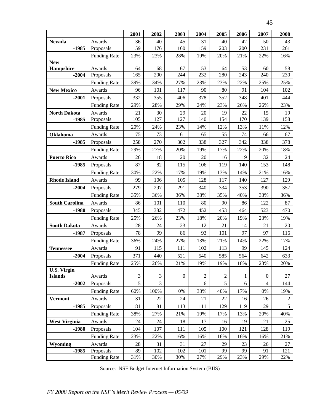| <b>SALE</b><br>٦<br>٠<br>v |
|----------------------------|
|                            |

|                                |                     | 2001      | 2002      | 2003             | 2004             | 2005             | 2006      | 2007             | 2008       |
|--------------------------------|---------------------|-----------|-----------|------------------|------------------|------------------|-----------|------------------|------------|
| <b>Nevada</b>                  | Awards              | 36        | 40        | 45               | 31               | 40               | 42        | 50               | 43         |
| $-1985$                        | Proposals           | 159       | 176       | 160              | 159              | 203              | 200       | 231              | 261        |
|                                | <b>Funding Rate</b> | 23%       | 23%       | 28%              | 19%              | 20%              | 21%       | 22%              | 16%        |
| <b>New</b>                     |                     |           |           |                  |                  |                  |           |                  |            |
| Hampshire<br>$-2004$           | Awards<br>Proposals | 64<br>165 | 68<br>200 | 67<br>244        | 53<br>232        | 64<br>280        | 53<br>243 | 60<br>240        | 58<br>230  |
|                                |                     |           |           |                  |                  |                  |           |                  |            |
|                                | <b>Funding Rate</b> | 39%       | 34%       | 27%              | 23%              | 23%              | 22%       | 25%              | 25%        |
| <b>New Mexico</b>              | Awards              | 96        | 101       | 117              | 90               | 80               | 91        | 104              | 102        |
| $-2001$                        | Proposals           | 332       | 355       | 406              | 378              | 352              | 348       | 401              | 444        |
|                                | <b>Funding Rate</b> | 29%       | 28%       | 29%              | 24%              | 23%              | 26%       | 26%              | 23%        |
| <b>North Dakota</b><br>$-1985$ | Awards<br>Proposals | 21<br>105 | 30<br>127 | 29<br>127        | 20<br>140        | 19<br>154        | 22<br>170 | 15<br>139        | 19<br>158  |
|                                |                     |           |           |                  |                  |                  |           |                  |            |
|                                | <b>Funding Rate</b> | 20%       | 24%       | 23%              | 14%              | 12%              | 13%       | 11%              | 12%        |
| Oklahoma                       | Awards              | 75        | 73        | 61               | 65               | 55               | 74        | 66               | 67         |
| $-1985$                        | Proposals           | 258       | 270       | 302              | 338              | 327              | 342       | 338              | 378        |
|                                | <b>Funding Rate</b> | 29%       | 27%       | 20%              | 19%              | 17%              | 22%       | 20%              | 18%        |
| <b>Puerto Rico</b>             | Awards              | 26        | 18        | 20               | 20               | 16               | 19        | 32               | 24         |
| $-1985$                        | Proposals           | 87        | 82        | 115              | 106              | 119              | 140       | 153              | 148        |
|                                | <b>Funding Rate</b> | 30%       | 22%       | 17%              | 19%              | 13%              | 14%       | 21%              | 16%        |
| <b>Rhode Island</b>            | Awards              | 99        | 106       | 105              | 128              | 117              | 140       | 127              | 129        |
| $-2004$                        | Proposals           | 279       | 297       | 291              | 340              | 334              | 353       | 390              | 357        |
|                                | <b>Funding Rate</b> | 35%       | 36%       | 36%              | 38%              | 35%              | 40%       | 33%              | 36%        |
| <b>South Carolina</b>          | Awards              | 86        | 101       | 110              | 80               | 90               | 86        | 122              | 87         |
| $-1980$                        | Proposals           | 345       | 382       | 472              | 452              | 453              | 464       | 523              | 470        |
|                                | <b>Funding Rate</b> | 25%       | 26%       | 23%              | 18%              | 20%              | 19%       | 23%              | 19%        |
| <b>South Dakota</b>            | Awards              | 28        | 24        | 23               | 12               | 21               | 14        | 21               | 20         |
| $-1987$                        | Proposals           | 78        | 99        | 86               | 93               | 101              | 97        | 97               | 116        |
|                                | <b>Funding Rate</b> | 36%       | 24%       | 27%              | 13%              | 21%              | 14%       | 22%              | 17%        |
| <b>Tennessee</b>               | Awards              | 91        | 115       | 111              | 102              | 113              | 99        | 145              | 124        |
| $-2004$                        | Proposals           | 371       | 440       | 521              | 540              | 585              | 564       | 642              | 633        |
|                                | <b>Funding Rate</b> | 25%       | 26%       | 21%              | 19%              | 19%              | 18%       | 23%              | 20%        |
| <b>U.S. Virgin</b>             |                     |           |           |                  |                  |                  |           |                  |            |
| <b>Islands</b>                 | Awards              | 3         | 3         | $\boldsymbol{0}$ | $\boldsymbol{2}$ | $\boldsymbol{2}$ | 1         | $\boldsymbol{0}$ | 27         |
| $-2002$                        | Proposals           | 5         | 3         | 1                | 6                | 5                | 6         | $\overline{4}$   | 144        |
|                                | <b>Funding Rate</b> | 60%       | 100%      | 0%               | 33%              | 40%              | 17%       | 0%               | 19%        |
| <b>Vermont</b>                 | Awards              | 31        | 22        | 24               | 21               | 22               | 16        | 26               | $\sqrt{2}$ |
| $-1985$                        | Proposals           | 81        | 81        | 113              | 111              | 129              | 119       | 129              | 5          |
|                                | <b>Funding Rate</b> | 38%       | 27%       | 21%              | 19%              | 17%              | 13%       | 20%              | 40%        |
| <b>West Virginia</b>           | Awards              | 24        | 24        | 18               | 17               | 16               | 19        | 21               | 25         |
| $-1980$                        | Proposals           | 104       | 107       | 111              | 105              | 100              | 121       | 128              | 119        |
|                                | <b>Funding Rate</b> | 23%       | 22%       | 16%              | 16%              | 16%              | 16%       | 16%              | 21%        |
| Wyoming                        | Awards              | 28        | 31        | 31               | 27               | 29               | 23        | 26               | 27         |
| $-1985$                        | Proposals           | 89        | 102       | 102              | 101              | 99               | 99        | 91               | 121        |
|                                | <b>Funding Rate</b> | 31%       | 30%       | 30%              | 27%              | 29%              | 23%       | 29%              | 22%        |

Source: NSF Budget Internet Information System (BIIS)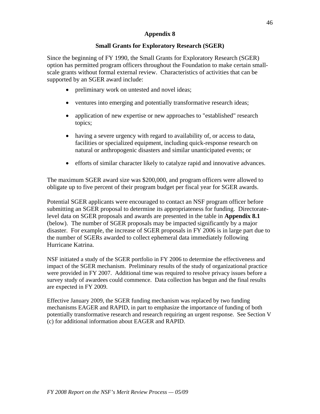# **Small Grants for Exploratory Research (SGER)**

Since the beginning of FY 1990, the Small Grants for Exploratory Research (SGER) option has permitted program officers throughout the Foundation to make certain smallscale grants without formal external review. Characteristics of activities that can be supported by an SGER award include:

- preliminary work on untested and novel ideas;
- ventures into emerging and potentially transformative research ideas;
- application of new expertise or new approaches to "established" research topics;
- having a severe urgency with regard to availability of, or access to data, facilities or specialized equipment, including quick-response research on natural or anthropogenic disasters and similar unanticipated events; or
- efforts of similar character likely to catalyze rapid and innovative advances.

The maximum SGER award size was \$200,000, and program officers were allowed to obligate up to five percent of their program budget per fiscal year for SGER awards.

Potential SGER applicants were encouraged to contact an NSF program officer before submitting an SGER proposal to determine its appropriateness for funding. Directoratelevel data on SGER proposals and awards are presented in the table in **Appendix 8.1**  (below). The number of SGER proposals may be impacted significantly by a major disaster. For example, the increase of SGER proposals in FY 2006 is in large part due to the number of SGERs awarded to collect ephemeral data immediately following Hurricane Katrina.

NSF initiated a study of the SGER portfolio in FY 2006 to determine the effectiveness and impact of the SGER mechanism. Preliminary results of the study of organizational practice were provided in FY 2007. Additional time was required to resolve privacy issues before a survey study of awardees could commence. Data collection has begun and the final results are expected in FY 2009.

Effective January 2009, the SGER funding mechanism was replaced by two funding mechanisms EAGER and RAPID, in part to emphasize the importance of funding of both potentially transformative research and research requiring an urgent response. See Section V (c) for additional information about EAGER and RAPID.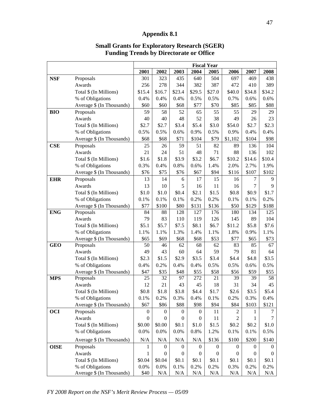# **Appendix 8.1**

|             |                                        | <b>Fiscal Year</b> |                  |                  |                  |                  |                  |                  |            |  |
|-------------|----------------------------------------|--------------------|------------------|------------------|------------------|------------------|------------------|------------------|------------|--|
|             |                                        | 2001               | 2002             | 2003             | 2004             | 2005             | 2006             | 2007             | 2008       |  |
| <b>NSF</b>  | Proposals                              | 301                | 323              | 435              | 640              | 504              | 697              | 469              | 438        |  |
|             | Awards                                 | 256                | 278              | 344              | 382              | 387              | 472              | 410              | 389        |  |
|             | Total \$ (In Millions)                 | \$15.4             | \$16.7           | \$23.4           | \$29.5           | \$27.0           | \$40.0           | \$34.8           | \$34.2     |  |
|             | % of Obligations                       | 0.4%               | 0.4%             | 0.4%             | 0.5%             | 0.5%             | 0.7%             | 0.6%             | 0.6%       |  |
|             | Average \$ (In Thousands)              | \$60               | \$60             | \$68             | \$77             | \$70             | \$85             | \$85             | \$88       |  |
| <b>BIO</b>  | Proposals                              | 59                 | 58               | 52               | 65               | 55               | 55               | 29               | 29         |  |
|             | Awards                                 | 40                 | 40               | 48               | 52               | 38               | 49               | 26               | 23         |  |
|             | Total \$ (In Millions)                 | \$2.7              | \$2.7            | \$3.4            | \$5.4            | \$3.0            | \$54.0           | \$2.7            | \$2.3      |  |
|             | % of Obligations                       | 0.5%               | 0.5%             | 0.6%             | 0.9%             | 0.5%             | 0.9%             | 0.4%             | 0.4%       |  |
|             | Average \$ (In Thousands)              | \$68               | \$68             | \$71             | \$104            | \$79             | \$1,102          | \$104            | \$98       |  |
| <b>CSE</b>  | Proposals                              | 25                 | 26               | 59               | 51               | 82               | 89               | 136              | 104        |  |
|             | Awards                                 | 21                 | 24               | 51               | 48               | 71               | 88               | 136              | 102        |  |
|             | Total \$ (In Millions)                 | \$1.6              | \$1.8            | \$3.9            | \$3.2            | \$6.7            | \$10.2           | \$14.6           | \$10.4     |  |
|             | % of Obligations                       | 0.3%               | 0.4%             | 0.8%             | 0.6%             | 1.4%             | 2.0%             | 2.7%             | 1.9%       |  |
|             | Average \$ (In Thousands)              | \$76               | \$75             | \$76             | \$67             | \$94             | \$116            | \$107            | \$102      |  |
| <b>EHR</b>  | Proposals                              | 13                 | 14               | 6                | 17               | 15               | 16               | 7                | 9          |  |
|             | Awards                                 | 13                 | 10               | 5                | 16               | 11               | 16               | 7                | 9          |  |
|             | Total \$ (In Millions)                 | \$1.0              | \$1.0            | \$0.4            | \$2.1            | \$1.5            | \$0.8            | \$0.9            | \$1.7      |  |
|             | % of Obligations                       | 0.1%               | 0.1%             | 0.1%             | 0.2%             | 0.2%             | 0.1%             | 0.1%             | 0.2%       |  |
|             | Average \$ (In Thousands)              | \$77               | \$100            | \$80             | \$131            | \$136            | \$50             | \$129            | \$188      |  |
| <b>ENG</b>  | Proposals                              | 84                 | 88               | 128              | 127              | 176              | 180              | 134              | 125        |  |
|             | Awards                                 | 79                 | 83               | 110              | 119              | 126              | 145              | 89               | 104        |  |
|             | Total \$ (In Millions)                 | \$5.1              | \$5.7            | \$7.5            | \$8.1            | \$6.7            | \$11.2           | \$5.8            | \$7.6      |  |
|             | % of Obligations                       | 1.1%               | 1.1%             | 1.3%             | 1.4%             | 1.1%             | 1.8%             | 0.9%             | 1.1%       |  |
|             | Average \$ (In Thousands)              | \$65               | \$69             | \$68             | \$68             | \$53             | \$77             | \$65             | \$73       |  |
| <b>GEO</b>  | Proposals                              | 50                 | 46               | 62               | 68               | 62               | 83               | 85               | 67         |  |
|             | Awards                                 | 49                 | 43               | 60               | 64               | 59               | 79               | 81               | 64         |  |
|             | Total \$ (In Millions)                 | \$2.3              | \$1.5            | \$2.9            | \$3.5            | \$3.4            | \$4.4            | \$4.8            | \$3.5      |  |
|             | % of Obligations                       | 0.4%<br>\$47       | 0.2%             | 0.4%             | 0.4%             | 0.5%             | 0.5%             | 0.6%             | 0.5%       |  |
| <b>MPS</b>  | Average \$ (In Thousands)<br>Proposals | 25                 | \$35<br>32       | \$48<br>97       | \$55<br>272      | \$58<br>21       | \$56<br>39       | \$59<br>39       | \$55<br>58 |  |
|             | Awards                                 | 12                 | 21               | 43               | 45               | 18               | 31               | 34               | 45         |  |
|             | Total \$ (In Millions)                 | \$0.8              | \$1.8            | \$3.8            | \$4.4            | \$1.7            | \$2.6            | \$3.5            | \$5.4      |  |
|             | % of Obligations                       | 0.1%               | 0.2%             | 0.3%             | 0.4%             | 0.1%             | 0.2%             | 0.3%             | 0.4%       |  |
|             | Average \$ (In Thousands)              | \$67               | \$86             | \$88             | \$98             | \$94             | \$84             | \$103            | \$121      |  |
| <b>OCI</b>  | Proposals                              | 0                  | $\boldsymbol{0}$ | $\boldsymbol{0}$ | $\theta$         | 11               | $\overline{c}$   | 1                | 7          |  |
|             | Awards                                 | $\theta$           | 0                | $\boldsymbol{0}$ | $\boldsymbol{0}$ | 11               | $\overline{c}$   | 1                | 7          |  |
|             | Total \$ (In Millions)                 | \$0.00             | \$0.00           | \$0.1            | \$1.0            | \$1.5            | \$0.2            | \$0.2            | \$1.0      |  |
|             | % of Obligations                       | 0.0%               | 0.0%             | 0.0%             | 0.8%             | 1.2%             | 0.1%             | 0.1%             | 0.5%       |  |
|             | Average \$ (In Thousands)              | N/A                | N/A              | N/A              | N/A              | \$136            | \$100            | \$200            | \$140      |  |
| <b>OISE</b> | Proposals                              | 1                  | $\theta$         | 0                | 0                | $\theta$         | $\theta$         | $\theta$         | 0          |  |
|             | Awards                                 | $\mathbf{1}$       | $\mathbf{0}$     | $\boldsymbol{0}$ | $\boldsymbol{0}$ | $\boldsymbol{0}$ | $\boldsymbol{0}$ | $\boldsymbol{0}$ | $\theta$   |  |
|             | Total \$ (In Millions)                 | \$0.04             | \$0.04           | \$0.1            | \$0.1            | \$0.1            | \$0.1            | \$0.1            | \$0.1      |  |
|             | % of Obligations                       | $0.0\%$            | 0.0%             | 0.1%             | 0.2%             | 0.2%             | 0.3%             | 0.2%             | 0.2%       |  |
|             | Average \$ (In Thousands)              | \$40               | N/A              | N/A              | N/A              | $\rm N/A$        | N/A              | N/A              | N/A        |  |

# **Small Grants for Exploratory Research (SGER) Funding Trends by Directorate or Office**

*FY 2008 Report on the NSF's Merit Review Process — 05/09*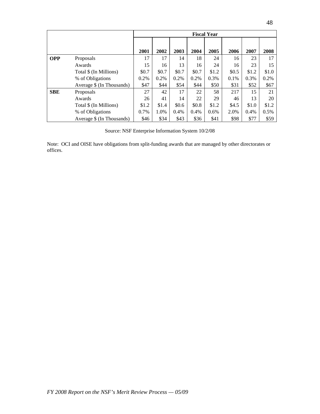|            |                           | <b>Fiscal Year</b> |       |       |       |       |       |       |       |  |  |
|------------|---------------------------|--------------------|-------|-------|-------|-------|-------|-------|-------|--|--|
|            |                           |                    |       |       |       |       |       |       |       |  |  |
|            |                           | 2001               | 2002  | 2003  | 2004  | 2005  | 2006  | 2007  | 2008  |  |  |
| <b>OPP</b> | Proposals                 | 17                 | 17    | 14    | 18    | 24    | 16    | 23    | 17    |  |  |
|            | Awards                    | 15                 | 16    | 13    | 16    | 24    | 16    | 23    | 15    |  |  |
|            | Total \$ (In Millions)    | \$0.7              | \$0.7 | \$0.7 | \$0.7 | \$1.2 | \$0.5 | \$1.2 | \$1.0 |  |  |
|            | % of Obligations          | 0.2%               | 0.2%  | 0.2%  | 0.2%  | 0.3%  | 0.1%  | 0.3%  | 0.2%  |  |  |
|            | Average \$ (In Thousands) | \$47               | \$44  | \$54  | \$44  | \$50  | \$31  | \$52  | \$67  |  |  |
| <b>SBE</b> | Proposals                 | 27                 | 42    | 17    | 22    | 58    | 217   | 15    | 21    |  |  |
|            | Awards                    | 26                 | 41    | 14    | 22    | 29    | 46    | 13    | 20    |  |  |
|            | Total \$ (In Millions)    | \$1.2              | \$1.4 | \$0.6 | \$0.8 | \$1.2 | \$4.5 | \$1.0 | \$1.2 |  |  |
|            | % of Obligations          | 0.7%               | 1.0%  | 0.4%  | 0.4%  | 0.6%  | 2.0%  | 0.4%  | 0.5%  |  |  |
|            | Average \$ (In Thousands) | \$46               | \$34  | \$43  | \$36  | \$41  | \$98  | \$77  | \$59  |  |  |

Source: NSF Enterprise Information System 10/2/08

Note: OCI and OISE have obligations from split-funding awards that are managed by other directorates or offices.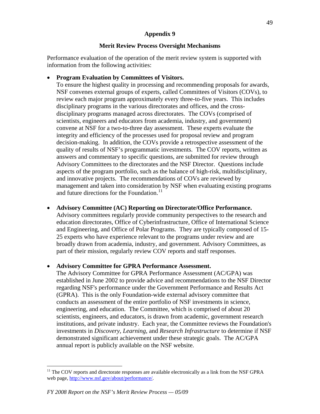# **Merit Review Process Oversight Mechanisms**

Performance evaluation of the operation of the merit review system is supported with information from the following activities:

# • **Program Evaluation by Committees of Visitors.**

To ensure the highest quality in processing and recommending proposals for awards, NSF convenes external groups of experts, called Committees of Visitors (COVs), to review each major program approximately every three-to-five years. This includes disciplinary programs in the various directorates and offices, and the crossdisciplinary programs managed across directorates. The COVs (comprised of scientists, engineers and educators from academia, industry, and government) convene at NSF for a two-to-three day assessment. These experts evaluate the integrity and efficiency of the processes used for proposal review and program decision-making. In addition, the COVs provide a retrospective assessment of the quality of results of NSF's programmatic investments. The COV reports, written as answers and commentary to specific questions, are submitted for review through Advisory Committees to the directorates and the NSF Director. Questions include aspects of the program portfolio, such as the balance of high-risk, multidisciplinary, and innovative projects. The recommendations of COVs are reviewed by management and taken into consideration by NSF when evaluating existing programs and future directions for the Foundation.<sup>[11](#page-48-0)</sup>

# • **Advisory Committee (AC) Reporting on Directorate/Office Performance.**

Advisory committees regularly provide community perspectives to the research and education directorates, Office of Cyberinfrastructure, Office of International Science and Engineering, and Office of Polar Programs. They are typically composed of 15- 25 experts who have experience relevant to the programs under review and are broadly drawn from academia, industry, and government. Advisory Committees, as part of their mission, regularly review COV reports and staff responses.

# • **Advisory Committee for GPRA Performance Assessment.**

The Advisory Committee for GPRA Performance Assessment (AC/GPA) was established in June 2002 to provide advice and recommendations to the NSF Director regarding NSF's performance under the Government Performance and Results Act (GPRA). This is the only Foundation-wide external advisory committee that conducts an assessment of the entire portfolio of NSF investments in science, engineering, and education. The Committee, which is comprised of about 20 scientists, engineers, and educators, is drawn from academic, government research institutions, and private industry. Each year, the Committee reviews the Foundation's investments in *Discovery*, *Learning*, and *Research Infrastructure* to determine if NSF demonstrated significant achievement under these strategic goals. The AC/GPA annual report is publicly available on the NSF website.

 $\overline{a}$ 

<span id="page-48-0"></span><sup>&</sup>lt;sup>11</sup> The COV reports and directorate responses are available electronically as a link from the NSF GPRA web page, [http://www.nsf.gov/about/performance/.](http://www.nsf.gov/about/performance/)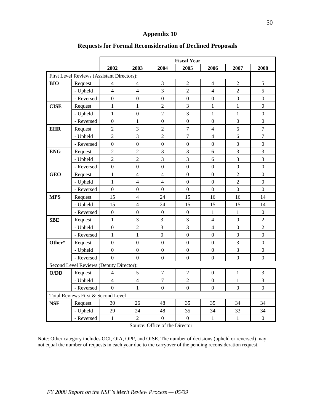|             |                                            | <b>Fiscal Year</b> |                  |                  |                  |                  |                  |                  |  |  |
|-------------|--------------------------------------------|--------------------|------------------|------------------|------------------|------------------|------------------|------------------|--|--|
|             |                                            | 2002               | 2003             | 2004             | 2005             | 2006             | 2007             | 2008             |  |  |
|             | First Level Reviews (Assistant Directors): |                    |                  |                  |                  |                  |                  |                  |  |  |
| BIO         | Request                                    | 4                  | $\overline{4}$   | 3                | $\overline{2}$   | 4                | $\overline{2}$   | 5                |  |  |
|             | - Upheld                                   | $\overline{4}$     | $\overline{4}$   | 3                | $\overline{c}$   | $\overline{4}$   | $\overline{2}$   | 5                |  |  |
|             | - Reversed                                 | $\overline{0}$     | $\mathbf{0}$     | $\overline{0}$   | $\mathbf 0$      | $\boldsymbol{0}$ | $\mathbf 0$      | $\boldsymbol{0}$ |  |  |
| <b>CISE</b> | Request                                    | $\mathbf{1}$       | $\mathbf{1}$     | $\overline{2}$   | 3                | $\mathbf{1}$     | $\mathbf{1}$     | $\boldsymbol{0}$ |  |  |
|             | - Upheld                                   | $\mathbf{1}$       | $\boldsymbol{0}$ | $\overline{2}$   | 3                | $\mathbf{1}$     | $\mathbf{1}$     | $\boldsymbol{0}$ |  |  |
|             | - Reversed                                 | $\mathbf{0}$       | $\mathbf{1}$     | $\mathbf 0$      | $\mathbf{0}$     | $\boldsymbol{0}$ | $\mathbf 0$      | $\boldsymbol{0}$ |  |  |
| <b>EHR</b>  | Request                                    | $\overline{2}$     | $\mathfrak{Z}$   | $\overline{2}$   | $\overline{7}$   | $\overline{4}$   | 6                | $\boldsymbol{7}$ |  |  |
|             | - Upheld                                   | $\overline{2}$     | $\overline{3}$   | $\overline{2}$   | $\overline{7}$   | $\overline{4}$   | 6                | $\overline{7}$   |  |  |
|             | - Reversed                                 | $\overline{0}$     | $\overline{0}$   | $\overline{0}$   | $\overline{0}$   | $\mathbf{0}$     | $\mathbf{0}$     | $\boldsymbol{0}$ |  |  |
| <b>ENG</b>  | Request                                    | $\overline{2}$     | $\overline{2}$   | 3                | $\overline{3}$   | 6                | $\overline{3}$   | 3                |  |  |
|             | - Upheld                                   | $\overline{c}$     | $\overline{2}$   | 3                | 3                | 6                | $\overline{3}$   | 3                |  |  |
|             | - Reversed                                 | $\boldsymbol{0}$   | $\boldsymbol{0}$ | $\boldsymbol{0}$ | $\boldsymbol{0}$ | $\boldsymbol{0}$ | $\boldsymbol{0}$ | $\boldsymbol{0}$ |  |  |
| <b>GEO</b>  | Request                                    | $\mathbf{1}$       | $\overline{4}$   | $\overline{4}$   | $\overline{0}$   | $\boldsymbol{0}$ | $\overline{2}$   | $\boldsymbol{0}$ |  |  |
|             | - Upheld                                   | $\mathbf{1}$       | $\overline{4}$   | $\overline{4}$   | $\mathbf{0}$     | $\mathbf{0}$     | $\overline{2}$   | $\boldsymbol{0}$ |  |  |
|             | - Reversed                                 | $\overline{0}$     | $\mathbf{0}$     | $\overline{0}$   | $\overline{0}$   | $\mathbf{0}$     | $\overline{0}$   | $\mathbf{0}$     |  |  |
| <b>MPS</b>  | Request                                    | 15                 | $\overline{4}$   | 24               | 15               | 16               | 16               | 14               |  |  |
|             | - Upheld                                   | 15                 | $\overline{4}$   | 24               | 15               | 15               | 15               | 14               |  |  |
|             | - Reversed                                 | $\boldsymbol{0}$   | $\boldsymbol{0}$ | $\boldsymbol{0}$ | $\boldsymbol{0}$ | $\mathbf{1}$     | $\mathbf{1}$     | $\boldsymbol{0}$ |  |  |
| <b>SBE</b>  | Request                                    | $\mathbf{1}$       | $\mathfrak{Z}$   | 3                | 3                | $\overline{4}$   | $\boldsymbol{0}$ | $\boldsymbol{2}$ |  |  |
|             | - Upheld                                   | $\overline{0}$     | $\overline{2}$   | $\overline{3}$   | 3                | $\overline{4}$   | $\boldsymbol{0}$ | $\overline{2}$   |  |  |
|             | - Reversed                                 | $\mathbf{1}$       | $\mathbf{1}$     | $\overline{0}$   | $\boldsymbol{0}$ | $\mathbf{0}$     | $\mathbf{0}$     | $\boldsymbol{0}$ |  |  |
| Other*      | Request                                    | $\overline{0}$     | $\boldsymbol{0}$ | $\mathbf{0}$     | $\mathbf{0}$     | $\boldsymbol{0}$ | $\mathfrak{Z}$   | $\boldsymbol{0}$ |  |  |
|             | - Upheld                                   | $\mathbf{0}$       | $\overline{0}$   | $\boldsymbol{0}$ | $\boldsymbol{0}$ | $\boldsymbol{0}$ | $\overline{3}$   | $\boldsymbol{0}$ |  |  |
|             | - Reversed                                 | $\overline{0}$     | $\mathbf{0}$     | $\mathbf{0}$     | $\boldsymbol{0}$ | $\boldsymbol{0}$ | $\mathbf{0}$     | $\mathbf{0}$     |  |  |
|             | Second Level Reviews (Deputy Director):    |                    |                  |                  |                  |                  |                  |                  |  |  |
| O/DD        | Request                                    | 4                  | 5                | $\boldsymbol{7}$ | $\overline{c}$   | $\boldsymbol{0}$ | $\mathbf{1}$     | $\mathfrak 3$    |  |  |
|             | - Upheld                                   | $\overline{4}$     | $\overline{4}$   | $\boldsymbol{7}$ | $\overline{c}$   | $\boldsymbol{0}$ | $\mathbf{1}$     | 3                |  |  |
|             | - Reversed                                 | $\overline{0}$     | $\mathbf{1}$     | $\mathbf{0}$     | $\mathbf{0}$     | $\mathbf{0}$     | $\boldsymbol{0}$ | $\boldsymbol{0}$ |  |  |
|             | Total Reviews First & Second Level         |                    |                  |                  |                  |                  |                  |                  |  |  |
| <b>NSF</b>  | Request                                    | 30                 | 26               | 48               | 35               | 35               | 34               | 34               |  |  |
|             | - Upheld                                   | 29                 | 24               | 48               | 35               | 34               | 33               | 34               |  |  |
|             | - Reversed                                 | $\mathbf{1}$       | $\overline{2}$   | $\boldsymbol{0}$ | $\boldsymbol{0}$ | $\mathbf{1}$     | $\mathbf{1}$     | $\boldsymbol{0}$ |  |  |

# **Requests for Formal Reconsideration of Declined Proposals**

Source: Office of the Director

Note: Other category includes OCI, OIA, OPP, and OISE. The number of decisions (upheld or reversed) may not equal the number of requests in each year due to the carryover of the pending reconsideration request.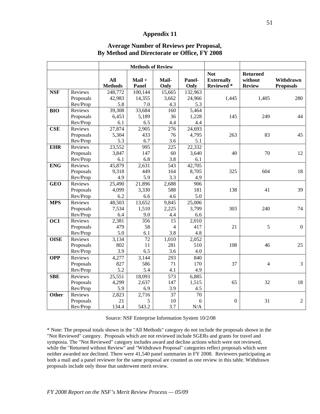|             |           | <b>Methods of Review</b> |                   |                 |                |                                              |                                             |                               |
|-------------|-----------|--------------------------|-------------------|-----------------|----------------|----------------------------------------------|---------------------------------------------|-------------------------------|
|             |           | All<br><b>Methods</b>    | $Mail +$<br>Panel | Mail-<br>Only   | Panel-<br>Only | <b>Not</b><br><b>Externally</b><br>Reviewed* | <b>Returned</b><br>without<br><b>Review</b> | Withdrawn<br><b>Proposals</b> |
| <b>NSF</b>  | Reviews   | 248,772                  | 100,144           | 15,665          | 132,963        |                                              |                                             |                               |
|             | Proposals | 42,983                   | 14,355            | 3,662           | 24,966         | 1,445                                        | 1,405                                       | 280                           |
|             | Rev/Prop  | 5.8                      | 7.0               | 4.3             | 5.3            |                                              |                                             |                               |
| <b>BIO</b>  | Reviews   | 39,308                   | 33,684            | 160             | 5,464          |                                              |                                             |                               |
|             | Proposals | 6,453                    | 5,189             | 36              | 1,228          | 145                                          | 249                                         | 44                            |
|             | Rev/Prop  | 6.1                      | 6.5               | 4.4             | 4.4            |                                              |                                             |                               |
| <b>CSE</b>  | Reviews   | 27,874                   | 2,905             | 276             | 24,693         |                                              |                                             |                               |
|             | Proposals | 5,304                    | 433               | 76              | 4,795          | 263                                          | 83                                          | 45                            |
|             | Rev/Prop  | 5.3                      | 6.7               | 3.6             | 5.1            |                                              |                                             |                               |
| <b>EHR</b>  | Reviews   | 23,552                   | 995               | 225             | 22,332         |                                              |                                             |                               |
|             | Proposals | 3,847                    | 147               | 60              | 3,640          | 40                                           | 70                                          | 12                            |
|             | Rev/Prop  | 6.1                      | 6.8               | 3.8             | 6.1            |                                              |                                             |                               |
| <b>ENG</b>  | Reviews   | 45,879                   | 2,631             | 543             | 42,705         |                                              |                                             |                               |
|             | Proposals | 9,318                    | 449               | 164             | 8,705          | 325                                          | 604                                         | 18                            |
|             | Rev/Prop  | 4.9                      | 5.9               | 3.3             | 4.9            |                                              |                                             |                               |
| <b>GEO</b>  | Reviews   | 25,490                   | 21,896            | 2,688           | 906            |                                              |                                             |                               |
|             | Proposals | 4,099                    | 3,330             | 588             | 181            | 138                                          | 41                                          | 39                            |
|             | Rev/Prop  | 6.2                      | 6.6               | 4.6             | 5.0            |                                              |                                             |                               |
| <b>MPS</b>  | Reviews   | 48,503                   | 13,652            | 9,845           | 25,006         |                                              |                                             |                               |
|             | Proposals | 7,534                    | 1,510             | 2,225           | 3,799          | 303                                          | 240                                         | 74                            |
|             | Rev/Prop  | 6.4                      | 9.0               | 4.4             | 6.6            |                                              |                                             |                               |
| <b>OCI</b>  | Reviews   | 2,381                    | 356               | 15              | 2,010          |                                              |                                             |                               |
|             | Proposals | 479                      | 58                | $\overline{4}$  | 417            | 21                                           | 5                                           | $\overline{0}$                |
|             | Rev/Prop  | 5.0                      | 6.1               | 3.8             | 4.8            |                                              |                                             |                               |
| <b>OISE</b> | Reviews   | 3,134                    | $\overline{72}$   | 1,010           | 2,052          |                                              |                                             |                               |
|             | Proposals | 802                      | 11                | 281             | 510            | 108                                          | 46                                          | 25                            |
|             | Rev/Prop  | 3.9                      | 6.5               | 3.6             | 4.0            |                                              |                                             |                               |
| <b>OPP</b>  | Reviews   | 4,277                    | 3,144             | 293             | 840            |                                              |                                             |                               |
|             | Proposals | 827                      | 586               | 71              | 170            | 37                                           | $\overline{4}$                              | 3                             |
|             | Rev/Prop  | 5.2                      | 5.4               | 4.1             | 4.9            |                                              |                                             |                               |
| <b>SBE</b>  | Reviews   | 25,551                   | 18,093            | 573             | 6,885          |                                              |                                             |                               |
|             | Proposals | 4,299                    | 2,637             | 147             | 1,515          | 65                                           | 32                                          | 18                            |
|             | Rev/Prop  | 5.9                      | 6.9               | 3.9             | 4.5            |                                              |                                             |                               |
| Other       | Reviews   | 2,823                    | 2,716             | $\overline{37}$ | 70             |                                              |                                             |                               |
|             | Proposals | 21                       | 5                 | 10              | 6              | $\overline{0}$                               | 31                                          | $\overline{2}$                |
|             | Rev/Prop  | 134.4                    | 543.2             | 3.7             | N/A            |                                              |                                             |                               |

#### **Average Number of Reviews per Proposal, By Method and Directorate or Office, FY 2008**

Source: NSF Enterprise Information System 10/2/08

\* Note: The proposal totals shown in the "All Methods" category do not include the proposals shown in the "Not Reviewed" category. Proposals which are not reviewed include SGERs and grants for travel and symposia. The "Not Reviewed" category includes award and decline actions which were not reviewed, while the "Returned without Review" and "Withdrawn Proposal" categories reflect proposals which were neither awarded nor declined. There were 41,540 panel summaries in FY 2008. Reviewers participating as both a mail and a panel reviewer for the same proposal are counted as one review in this table. Withdrawn proposals include only those that underwent merit review.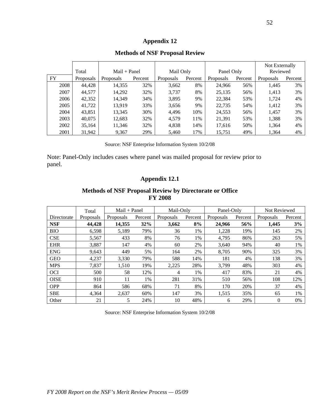|           |           |                  |         |           |         |            |         | Not Externally |         |
|-----------|-----------|------------------|---------|-----------|---------|------------|---------|----------------|---------|
|           | Total     | $Mail + Panel$   |         | Mail Only |         | Panel Only |         | Reviewed       |         |
| <b>FY</b> | Proposals | <b>Proposals</b> | Percent | Proposals | Percent | Proposals  | Percent | Proposals      | Percent |
| 2008      | 44,428    | 14,355           | 32%     | 3,662     | 8%      | 24,966     | 56%     | 1,445          | 3%      |
| 2007      | 44,577    | 14,292           | 32%     | 3,737     | 8%      | 25,135     | 56%     | 1,413          | 3%      |
| 2006      | 42,352    | 14.349           | 34%     | 3,895     | 9%      | 22,384     | 53%     | 1,724          | 4%      |
| 2005      | 41,722    | 13.919           | 33%     | 3,656     | 9%      | 22,735     | 54%     | 1,412          | 3%      |
| 2004      | 43,851    | 13,345           | 30%     | 4,496     | 10%     | 24,553     | 56%     | 1,457          | 3%      |
| 2003      | 40,075    | 12,683           | 32%     | 4,579     | 11%     | 21,391     | 53%     | 1,388          | 3%      |
| 2002      | 35,164    | 11,346           | 32%     | 4,838     | 14%     | 17,616     | 50%     | 1,364          | 4%      |
| 2001      | 31,942    | 9,367            | 29%     | 5,460     | 17%     | 15,751     | 49%     | 1,364          | 4%      |

#### **Methods of NSF Proposal Review**

Source: NSF Enterprise Information System 10/2/08

Note: Panel-Only includes cases where panel was mailed proposal for review prior to panel.

### **Appendix 12.1**

#### **Methods of NSF Proposal Review by Directorate or Office FY 2008**

|             | Total            | $Mail + Panel$ |         | Mail-Only |         | Panel-Only |         | Not Reviewed |         |
|-------------|------------------|----------------|---------|-----------|---------|------------|---------|--------------|---------|
| Directorate | <b>Proposals</b> | Proposals      | Percent | Proposals | Percent | Proposals  | Percent | Proposals    | Percent |
| <b>NSF</b>  | 44,428           | 14,355         | 32%     | 3,662     | 8%      | 24,966     | 56%     | 1,445        | 3%      |
| <b>BIO</b>  | 6,598            | 5,189          | 79%     | 36        | 1%      | 1,228      | 19%     | 145          | 2%      |
| <b>CSE</b>  | 5,567            | 433            | 8%      | 76        | 1%      | 4.795      | 86%     | 263          | 5%      |
| <b>EHR</b>  | 3,887            | 147            | 4%      | 60        | 2%      | 3.640      | 94%     | 40           | 1%      |
| <b>ENG</b>  | 9,643            | 449            | 5%      | 164       | 2%      | 8,705      | 90%     | 325          | 3%      |
| <b>GEO</b>  | 4,237            | 3,330          | 79%     | 588       | 14%     | 181        | 4%      | 138          | 3%      |
| <b>MPS</b>  | 7,837            | 1,510          | 19%     | 2,225     | 28%     | 3.799      | 48%     | 303          | 4%      |
| <b>OCI</b>  | 500              | 58             | 12%     | 4         | 1%      | 417        | 83%     | 21           | 4%      |
| <b>OISE</b> | 910              | 11             | 1%      | 281       | 31%     | 510        | 56%     | 108          | 12%     |
| <b>OPP</b>  | 864              | 586            | 68%     | 71        | 8%      | 170        | 20%     | 37           | 4%      |
| <b>SBE</b>  | 4.364            | 2.637          | 60%     | 147       | 3%      | 1,515      | 35%     | 65           | 1%      |
| Other       | 21               | 5              | 24%     | 10        | 48%     | 6          | 29%     | $\Omega$     | 0%      |

Source: NSF Enterprise Information System 10/2/08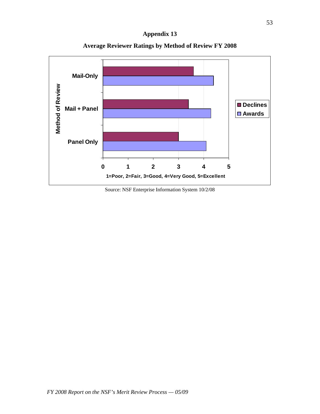

**Average Reviewer Ratings by Method of Review FY 2008** 

Source: NSF Enterprise Information System 10/2/08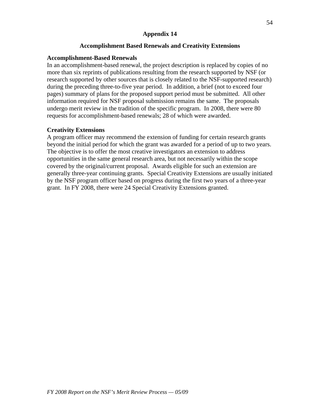## **Accomplishment Based Renewals and Creativity Extensions**

#### **Accomplishment-Based Renewals**

In an accomplishment-based renewal, the project description is replaced by copies of no more than six reprints of publications resulting from the research supported by NSF (or research supported by other sources that is closely related to the NSF-supported research) during the preceding three-to-five year period. In addition, a brief (not to exceed four pages) summary of plans for the proposed support period must be submitted. All other information required for NSF proposal submission remains the same. The proposals undergo merit review in the tradition of the specific program. In 2008, there were 80 requests for accomplishment-based renewals; 28 of which were awarded.

### **Creativity Extensions**

A program officer may recommend the extension of funding for certain research grants beyond the initial period for which the grant was awarded for a period of up to two years. The objective is to offer the most creative investigators an extension to address opportunities in the same general research area, but not necessarily within the scope covered by the original/current proposal. Awards eligible for such an extension are generally three-year continuing grants. Special Creativity Extensions are usually initiated by the NSF program officer based on progress during the first two years of a three-year grant. In FY 2008, there were 24 Special Creativity Extensions granted.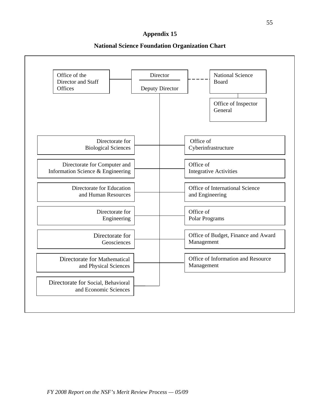#### **National Science Foundation Organization Chart**